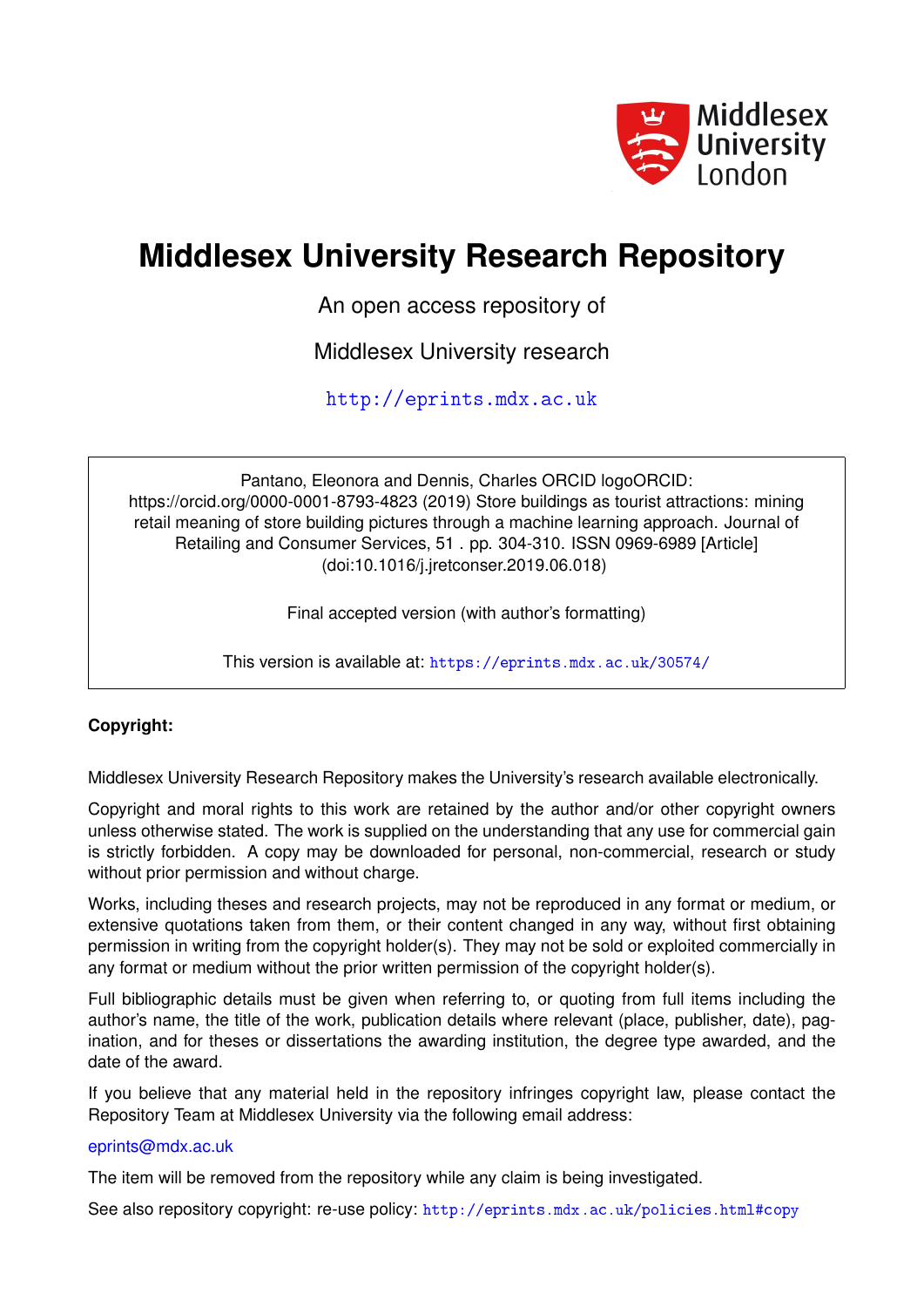

# **Middlesex University Research Repository**

An open access repository of

Middlesex University research

<http://eprints.mdx.ac.uk>

Pantano, Eleonora and Dennis, Charles ORCID logoORCID: https://orcid.org/0000-0001-8793-4823 (2019) Store buildings as tourist attractions: mining retail meaning of store building pictures through a machine learning approach. Journal of Retailing and Consumer Services, 51 . pp. 304-310. ISSN 0969-6989 [Article] (doi:10.1016/j.jretconser.2019.06.018)

Final accepted version (with author's formatting)

This version is available at: <https://eprints.mdx.ac.uk/30574/>

# **Copyright:**

Middlesex University Research Repository makes the University's research available electronically.

Copyright and moral rights to this work are retained by the author and/or other copyright owners unless otherwise stated. The work is supplied on the understanding that any use for commercial gain is strictly forbidden. A copy may be downloaded for personal, non-commercial, research or study without prior permission and without charge.

Works, including theses and research projects, may not be reproduced in any format or medium, or extensive quotations taken from them, or their content changed in any way, without first obtaining permission in writing from the copyright holder(s). They may not be sold or exploited commercially in any format or medium without the prior written permission of the copyright holder(s).

Full bibliographic details must be given when referring to, or quoting from full items including the author's name, the title of the work, publication details where relevant (place, publisher, date), pagination, and for theses or dissertations the awarding institution, the degree type awarded, and the date of the award.

If you believe that any material held in the repository infringes copyright law, please contact the Repository Team at Middlesex University via the following email address:

# [eprints@mdx.ac.uk](mailto:eprints@mdx.ac.uk)

The item will be removed from the repository while any claim is being investigated.

See also repository copyright: re-use policy: <http://eprints.mdx.ac.uk/policies.html#copy>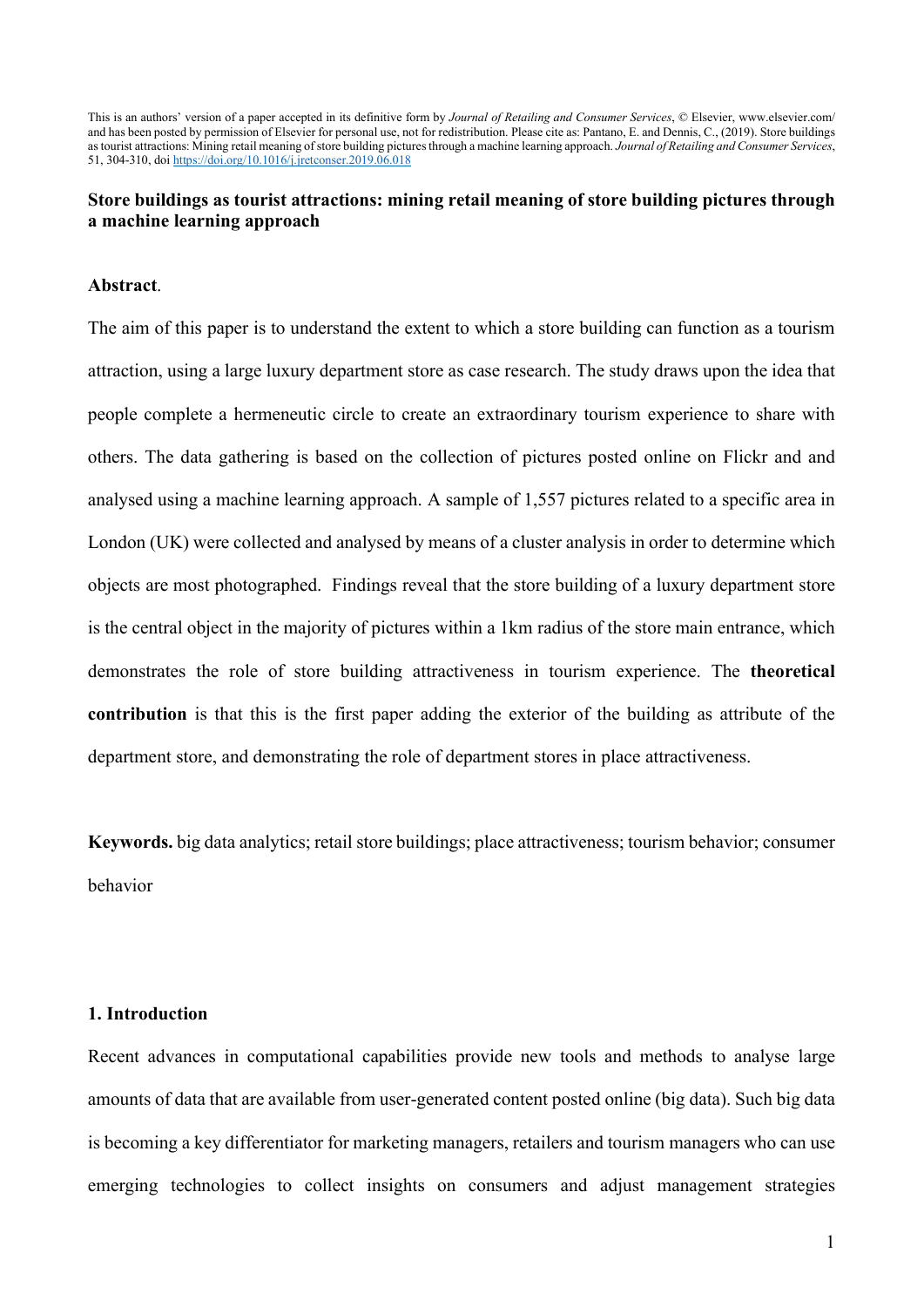This is an authors' version of a paper accepted in its definitive form by Journal of Retailing and Consumer Services, © Elsevier, www.elsevier.com/ and has been posted by permission of Elsevier for personal use, not for redistribution. Please cite as: Pantano, E. and Dennis, C., (2019). Store buildings as tourist attractions: Mining retail meaning of store building pictures through a machine learning approach. Journal of Retailing and Consumer Services, 51, 304-310, doi https://doi.org/10.1016/j.jretconser.2019.06.018

# Store buildings as tourist attractions: mining retail meaning of store building pictures through a machine learning approach

## Abstract.

The aim of this paper is to understand the extent to which a store building can function as a tourism attraction, using a large luxury department store as case research. The study draws upon the idea that people complete a hermeneutic circle to create an extraordinary tourism experience to share with others. The data gathering is based on the collection of pictures posted online on Flickr and and analysed using a machine learning approach. A sample of 1,557 pictures related to a specific area in London (UK) were collected and analysed by means of a cluster analysis in order to determine which objects are most photographed. Findings reveal that the store building of a luxury department store is the central object in the majority of pictures within a 1km radius of the store main entrance, which demonstrates the role of store building attractiveness in tourism experience. The theoretical contribution is that this is the first paper adding the exterior of the building as attribute of the department store, and demonstrating the role of department stores in place attractiveness.

Keywords. big data analytics; retail store buildings; place attractiveness; tourism behavior; consumer behavior

## 1. Introduction

Recent advances in computational capabilities provide new tools and methods to analyse large amounts of data that are available from user-generated content posted online (big data). Such big data is becoming a key differentiator for marketing managers, retailers and tourism managers who can use emerging technologies to collect insights on consumers and adjust management strategies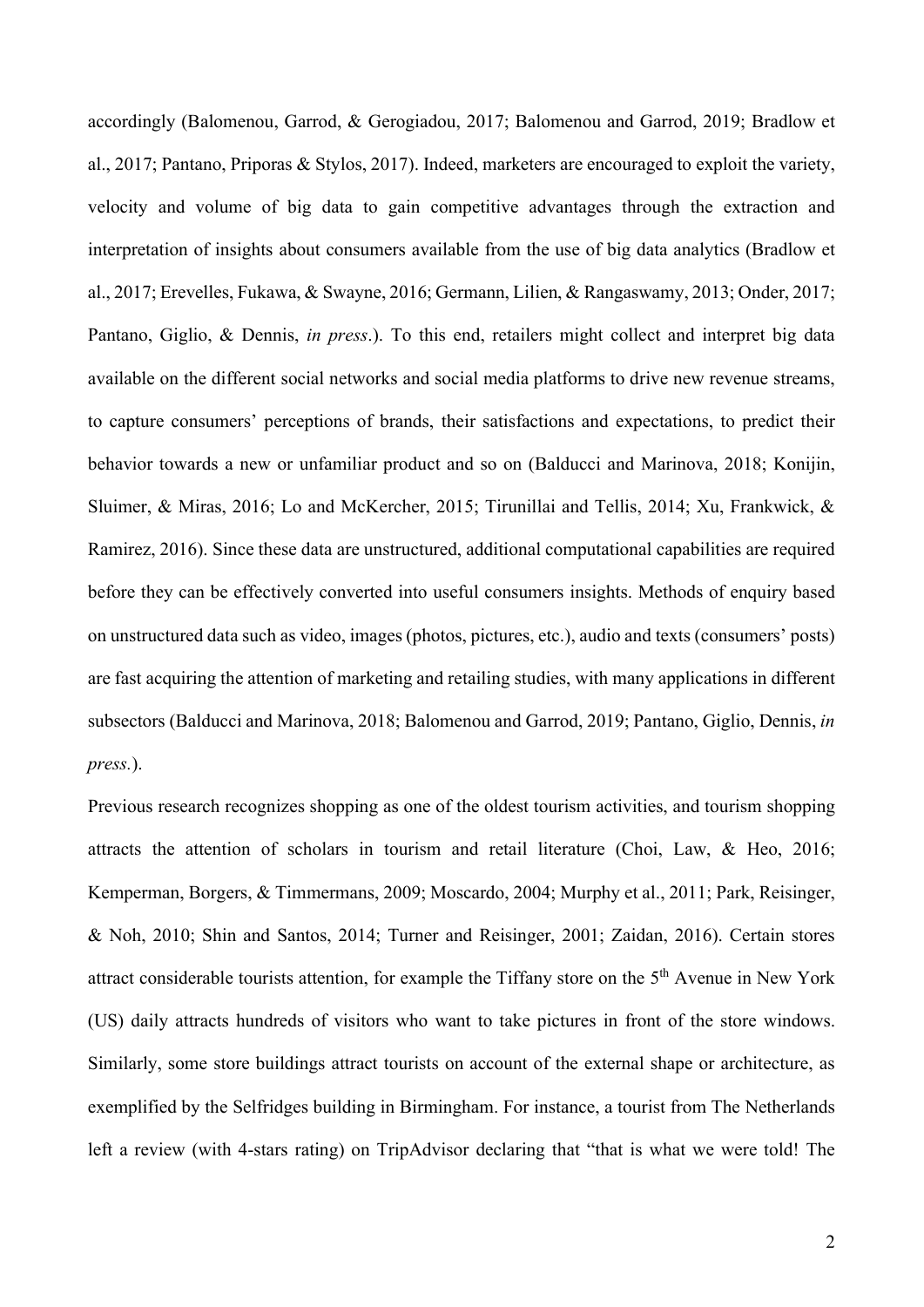accordingly (Balomenou, Garrod, & Gerogiadou, 2017; Balomenou and Garrod, 2019; Bradlow et al., 2017; Pantano, Priporas & Stylos, 2017). Indeed, marketers are encouraged to exploit the variety, velocity and volume of big data to gain competitive advantages through the extraction and interpretation of insights about consumers available from the use of big data analytics (Bradlow et al., 2017; Erevelles, Fukawa, & Swayne, 2016; Germann, Lilien, & Rangaswamy, 2013; Onder, 2017; Pantano, Giglio, & Dennis, in press.). To this end, retailers might collect and interpret big data available on the different social networks and social media platforms to drive new revenue streams, to capture consumers' perceptions of brands, their satisfactions and expectations, to predict their behavior towards a new or unfamiliar product and so on (Balducci and Marinova, 2018; Konijin, Sluimer, & Miras, 2016; Lo and McKercher, 2015; Tirunillai and Tellis, 2014; Xu, Frankwick, & Ramirez, 2016). Since these data are unstructured, additional computational capabilities are required before they can be effectively converted into useful consumers insights. Methods of enquiry based on unstructured data such as video, images (photos, pictures, etc.), audio and texts (consumers' posts) are fast acquiring the attention of marketing and retailing studies, with many applications in different subsectors (Balducci and Marinova, 2018; Balomenou and Garrod, 2019; Pantano, Giglio, Dennis, in press.).

Previous research recognizes shopping as one of the oldest tourism activities, and tourism shopping attracts the attention of scholars in tourism and retail literature (Choi, Law, & Heo, 2016; Kemperman, Borgers, & Timmermans, 2009; Moscardo, 2004; Murphy et al., 2011; Park, Reisinger, & Noh, 2010; Shin and Santos, 2014; Turner and Reisinger, 2001; Zaidan, 2016). Certain stores attract considerable tourists attention, for example the Tiffany store on the 5<sup>th</sup> Avenue in New York (US) daily attracts hundreds of visitors who want to take pictures in front of the store windows. Similarly, some store buildings attract tourists on account of the external shape or architecture, as exemplified by the Selfridges building in Birmingham. For instance, a tourist from The Netherlands left a review (with 4-stars rating) on TripAdvisor declaring that "that is what we were told! The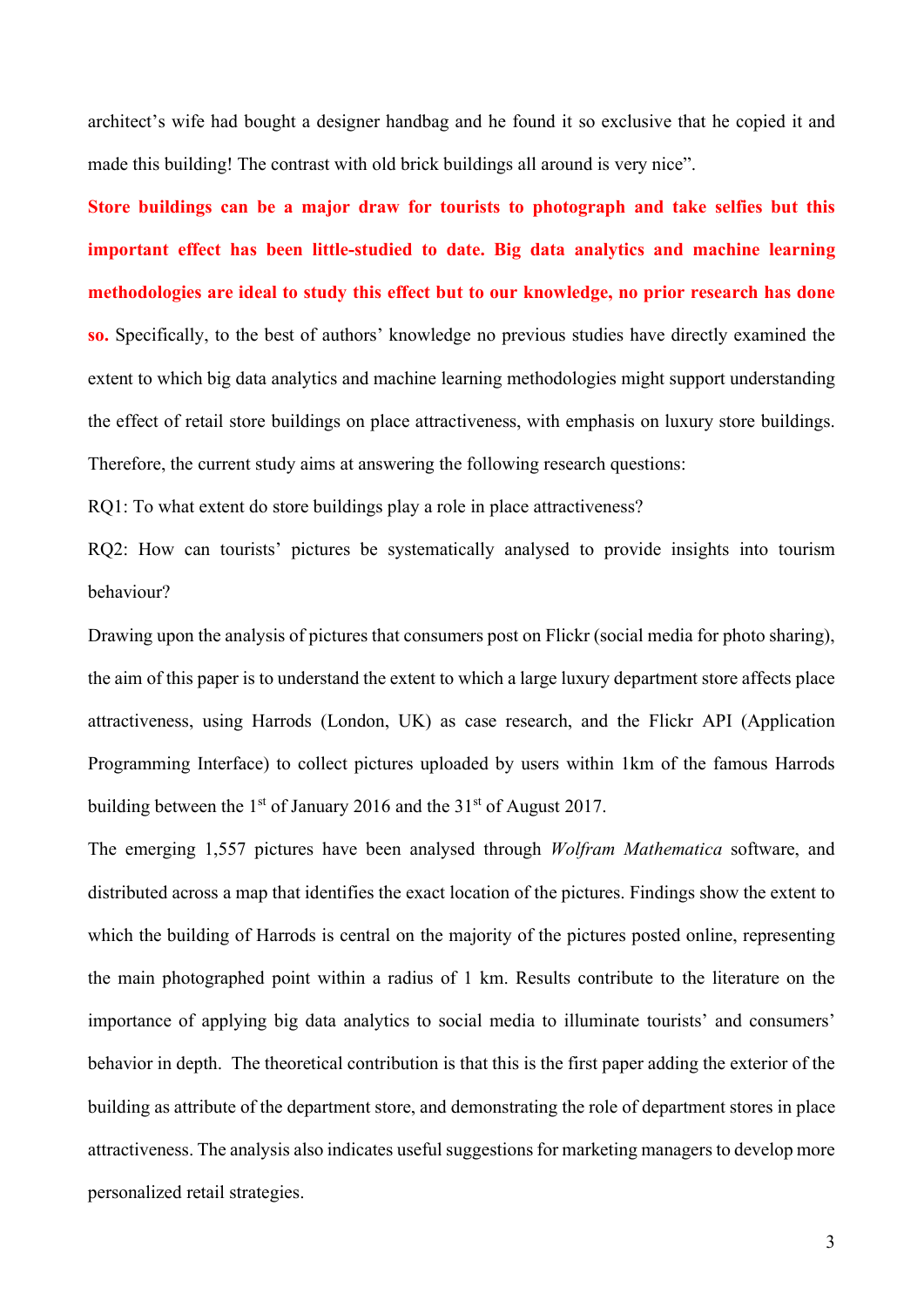architect's wife had bought a designer handbag and he found it so exclusive that he copied it and made this building! The contrast with old brick buildings all around is very nice".

Store buildings can be a major draw for tourists to photograph and take selfies but this important effect has been little-studied to date. Big data analytics and machine learning methodologies are ideal to study this effect but to our knowledge, no prior research has done so. Specifically, to the best of authors' knowledge no previous studies have directly examined the extent to which big data analytics and machine learning methodologies might support understanding the effect of retail store buildings on place attractiveness, with emphasis on luxury store buildings. Therefore, the current study aims at answering the following research questions:

RQ1: To what extent do store buildings play a role in place attractiveness?

RQ2: How can tourists' pictures be systematically analysed to provide insights into tourism behaviour?

Drawing upon the analysis of pictures that consumers post on Flickr (social media for photo sharing), the aim of this paper is to understand the extent to which a large luxury department store affects place attractiveness, using Harrods (London, UK) as case research, and the Flickr API (Application Programming Interface) to collect pictures uploaded by users within 1km of the famous Harrods building between the  $1<sup>st</sup>$  of January 2016 and the 31 $<sup>st</sup>$  of August 2017.</sup>

The emerging 1,557 pictures have been analysed through Wolfram Mathematica software, and distributed across a map that identifies the exact location of the pictures. Findings show the extent to which the building of Harrods is central on the majority of the pictures posted online, representing the main photographed point within a radius of 1 km. Results contribute to the literature on the importance of applying big data analytics to social media to illuminate tourists' and consumers' behavior in depth. The theoretical contribution is that this is the first paper adding the exterior of the building as attribute of the department store, and demonstrating the role of department stores in place attractiveness. The analysis also indicates useful suggestions for marketing managers to develop more personalized retail strategies.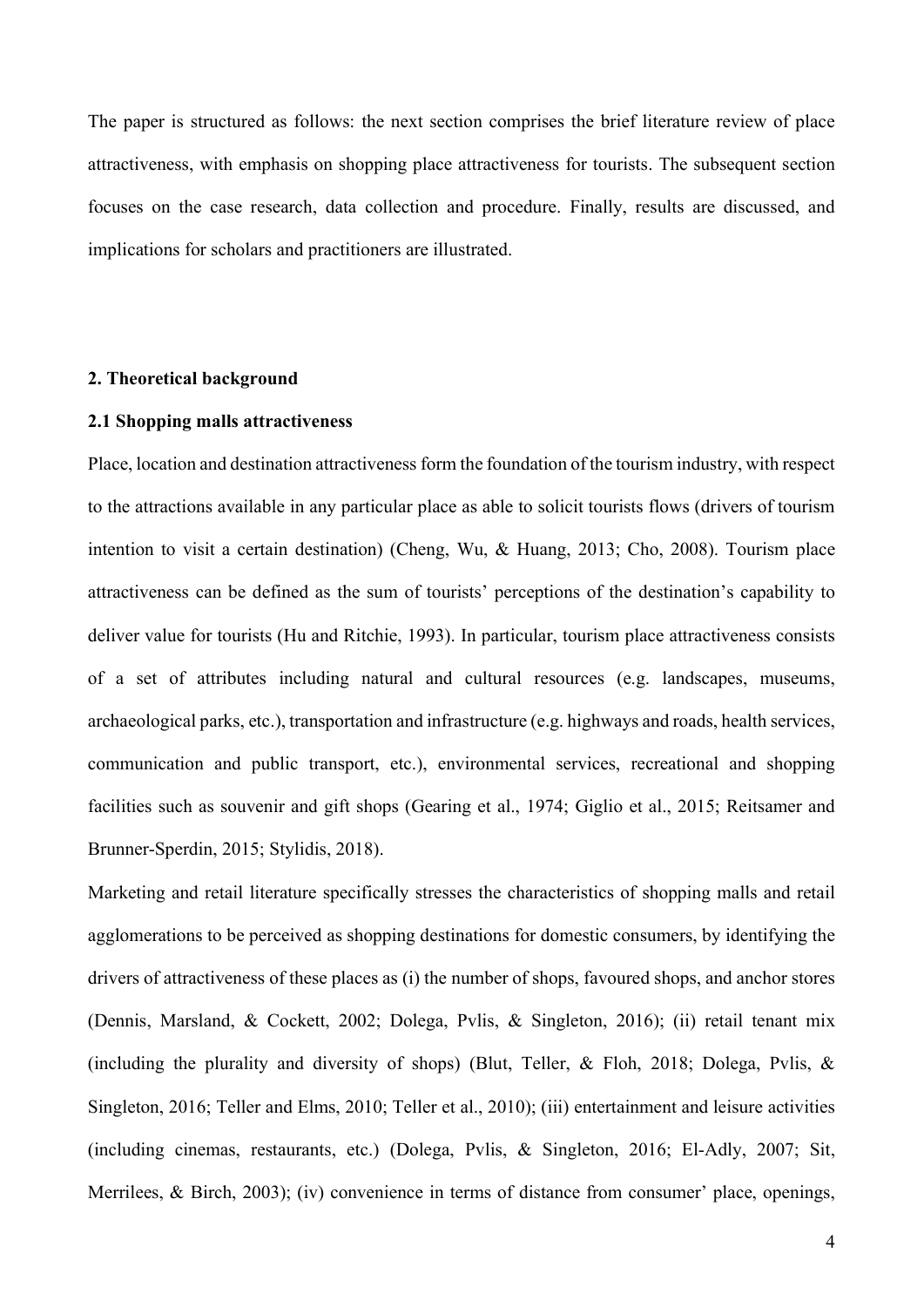The paper is structured as follows: the next section comprises the brief literature review of place attractiveness, with emphasis on shopping place attractiveness for tourists. The subsequent section focuses on the case research, data collection and procedure. Finally, results are discussed, and implications for scholars and practitioners are illustrated.

## 2. Theoretical background

## 2.1 Shopping malls attractiveness

Place, location and destination attractiveness form the foundation of the tourism industry, with respect to the attractions available in any particular place as able to solicit tourists flows (drivers of tourism intention to visit a certain destination) (Cheng, Wu, & Huang, 2013; Cho, 2008). Tourism place attractiveness can be defined as the sum of tourists' perceptions of the destination's capability to deliver value for tourists (Hu and Ritchie, 1993). In particular, tourism place attractiveness consists of a set of attributes including natural and cultural resources (e.g. landscapes, museums, archaeological parks, etc.), transportation and infrastructure (e.g. highways and roads, health services, communication and public transport, etc.), environmental services, recreational and shopping facilities such as souvenir and gift shops (Gearing et al., 1974; Giglio et al., 2015; Reitsamer and Brunner-Sperdin, 2015; Stylidis, 2018).

Marketing and retail literature specifically stresses the characteristics of shopping malls and retail agglomerations to be perceived as shopping destinations for domestic consumers, by identifying the drivers of attractiveness of these places as (i) the number of shops, favoured shops, and anchor stores (Dennis, Marsland, & Cockett, 2002; Dolega, Pvlis, & Singleton, 2016); (ii) retail tenant mix (including the plurality and diversity of shops) (Blut, Teller, & Floh, 2018; Dolega, Pvlis, & Singleton, 2016; Teller and Elms, 2010; Teller et al., 2010); (iii) entertainment and leisure activities (including cinemas, restaurants, etc.) (Dolega, Pvlis, & Singleton, 2016; El-Adly, 2007; Sit, Merrilees, & Birch, 2003); (iv) convenience in terms of distance from consumer' place, openings,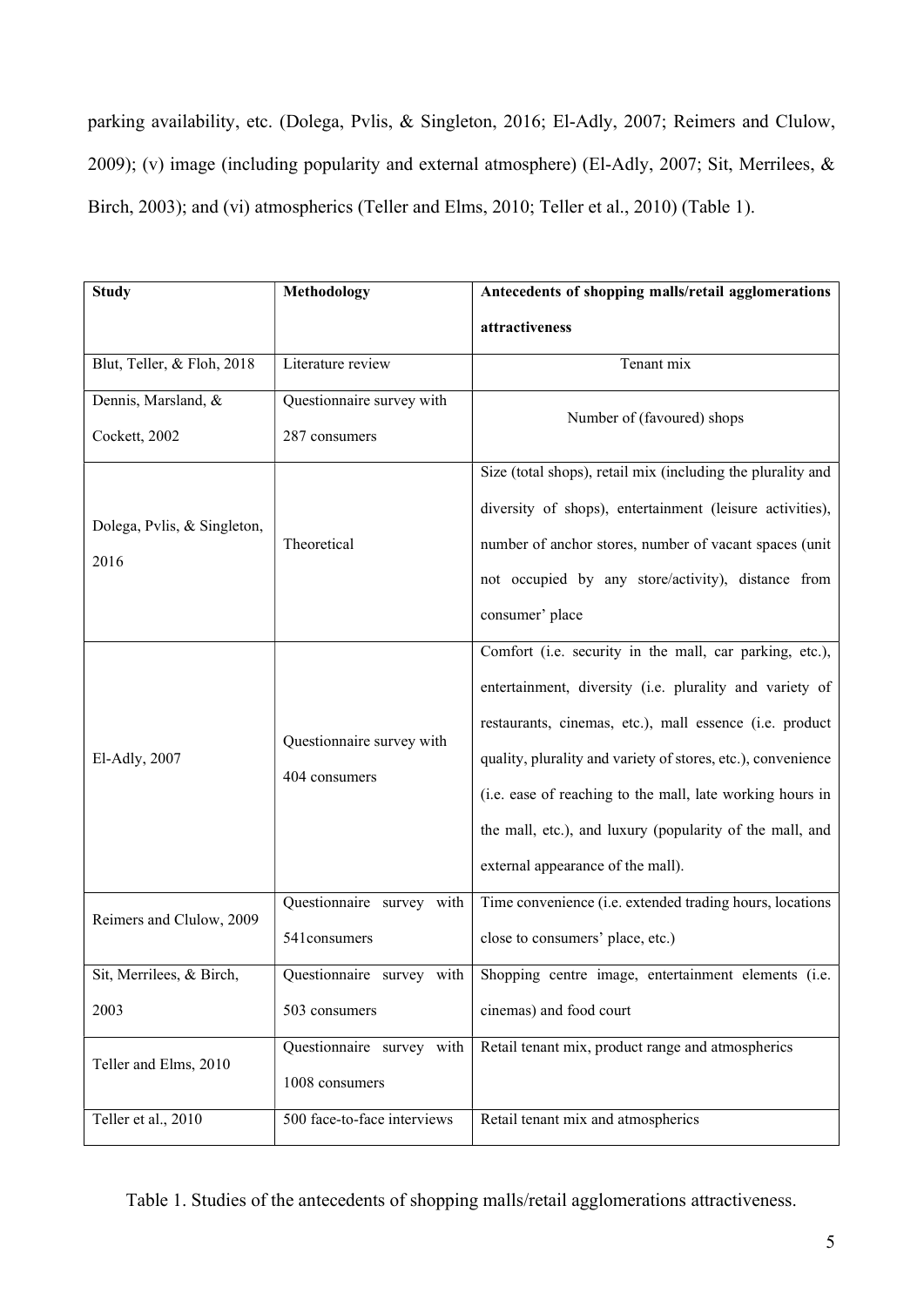parking availability, etc. (Dolega, Pvlis, & Singleton, 2016; El-Adly, 2007; Reimers and Clulow, 2009); (v) image (including popularity and external atmosphere) (El-Adly, 2007; Sit, Merrilees, & Birch, 2003); and (vi) atmospherics (Teller and Elms, 2010; Teller et al., 2010) (Table 1).

| <b>Study</b>                         | <b>Methodology</b>                          | Antecedents of shopping malls/retail agglomerations                                                                                                                                                                                                                                                                                                                                                         |
|--------------------------------------|---------------------------------------------|-------------------------------------------------------------------------------------------------------------------------------------------------------------------------------------------------------------------------------------------------------------------------------------------------------------------------------------------------------------------------------------------------------------|
|                                      |                                             | attractiveness                                                                                                                                                                                                                                                                                                                                                                                              |
| Blut, Teller, & Floh, 2018           | Literature review                           | Tenant mix                                                                                                                                                                                                                                                                                                                                                                                                  |
| Dennis, Marsland, &<br>Cockett, 2002 | Questionnaire survey with<br>287 consumers  | Number of (favoured) shops                                                                                                                                                                                                                                                                                                                                                                                  |
| Dolega, Pvlis, & Singleton,<br>2016  | Theoretical                                 | Size (total shops), retail mix (including the plurality and<br>diversity of shops), entertainment (leisure activities),<br>number of anchor stores, number of vacant spaces (unit<br>not occupied by any store/activity), distance from<br>consumer' place                                                                                                                                                  |
| El-Adly, 2007                        | Questionnaire survey with<br>404 consumers  | Comfort (i.e. security in the mall, car parking, etc.),<br>entertainment, diversity (i.e. plurality and variety of<br>restaurants, cinemas, etc.), mall essence (i.e. product<br>quality, plurality and variety of stores, etc.), convenience<br>(i.e. ease of reaching to the mall, late working hours in<br>the mall, etc.), and luxury (popularity of the mall, and<br>external appearance of the mall). |
| Reimers and Clulow, 2009             | Questionnaire survey with<br>541 consumers  | Time convenience (i.e. extended trading hours, locations<br>close to consumers' place, etc.)                                                                                                                                                                                                                                                                                                                |
| Sit, Merrilees, & Birch,             | Questionnaire survey with                   | Shopping centre image, entertainment elements (i.e.                                                                                                                                                                                                                                                                                                                                                         |
| 2003                                 | 503 consumers                               | cinemas) and food court                                                                                                                                                                                                                                                                                                                                                                                     |
| Teller and Elms, 2010                | Questionnaire survey with<br>1008 consumers | Retail tenant mix, product range and atmospherics                                                                                                                                                                                                                                                                                                                                                           |
| Teller et al., 2010                  | 500 face-to-face interviews                 | Retail tenant mix and atmospherics                                                                                                                                                                                                                                                                                                                                                                          |

Table 1. Studies of the antecedents of shopping malls/retail agglomerations attractiveness.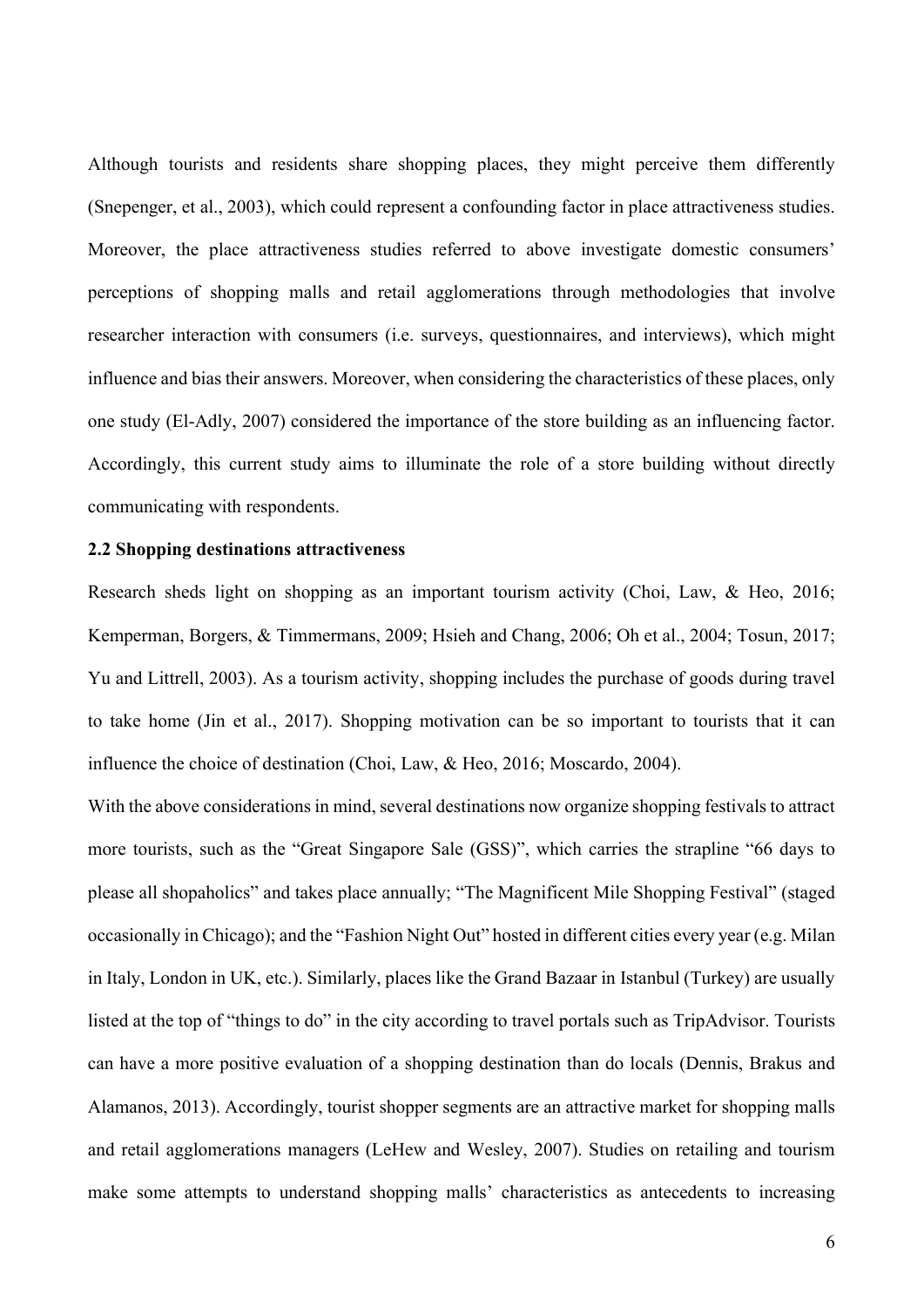Although tourists and residents share shopping places, they might perceive them differently (Snepenger, et al., 2003), which could represent a confounding factor in place attractiveness studies. Moreover, the place attractiveness studies referred to above investigate domestic consumers' perceptions of shopping malls and retail agglomerations through methodologies that involve researcher interaction with consumers (i.e. surveys, questionnaires, and interviews), which might influence and bias their answers. Moreover, when considering the characteristics of these places, only one study (El-Adly, 2007) considered the importance of the store building as an influencing factor. Accordingly, this current study aims to illuminate the role of a store building without directly communicating with respondents.

#### 2.2 Shopping destinations attractiveness

Research sheds light on shopping as an important tourism activity (Choi, Law, & Heo, 2016; Kemperman, Borgers, & Timmermans, 2009; Hsieh and Chang, 2006; Oh et al., 2004; Tosun, 2017; Yu and Littrell, 2003). As a tourism activity, shopping includes the purchase of goods during travel to take home (Jin et al., 2017). Shopping motivation can be so important to tourists that it can influence the choice of destination (Choi, Law, & Heo, 2016; Moscardo, 2004).

With the above considerations in mind, several destinations now organize shopping festivals to attract more tourists, such as the "Great Singapore Sale (GSS)", which carries the strapline "66 days to please all shopaholics" and takes place annually; "The Magnificent Mile Shopping Festival" (staged occasionally in Chicago); and the "Fashion Night Out" hosted in different cities every year (e.g. Milan in Italy, London in UK, etc.). Similarly, places like the Grand Bazaar in Istanbul (Turkey) are usually listed at the top of "things to do" in the city according to travel portals such as TripAdvisor. Tourists can have a more positive evaluation of a shopping destination than do locals (Dennis, Brakus and Alamanos, 2013). Accordingly, tourist shopper segments are an attractive market for shopping malls and retail agglomerations managers (LeHew and Wesley, 2007). Studies on retailing and tourism make some attempts to understand shopping malls' characteristics as antecedents to increasing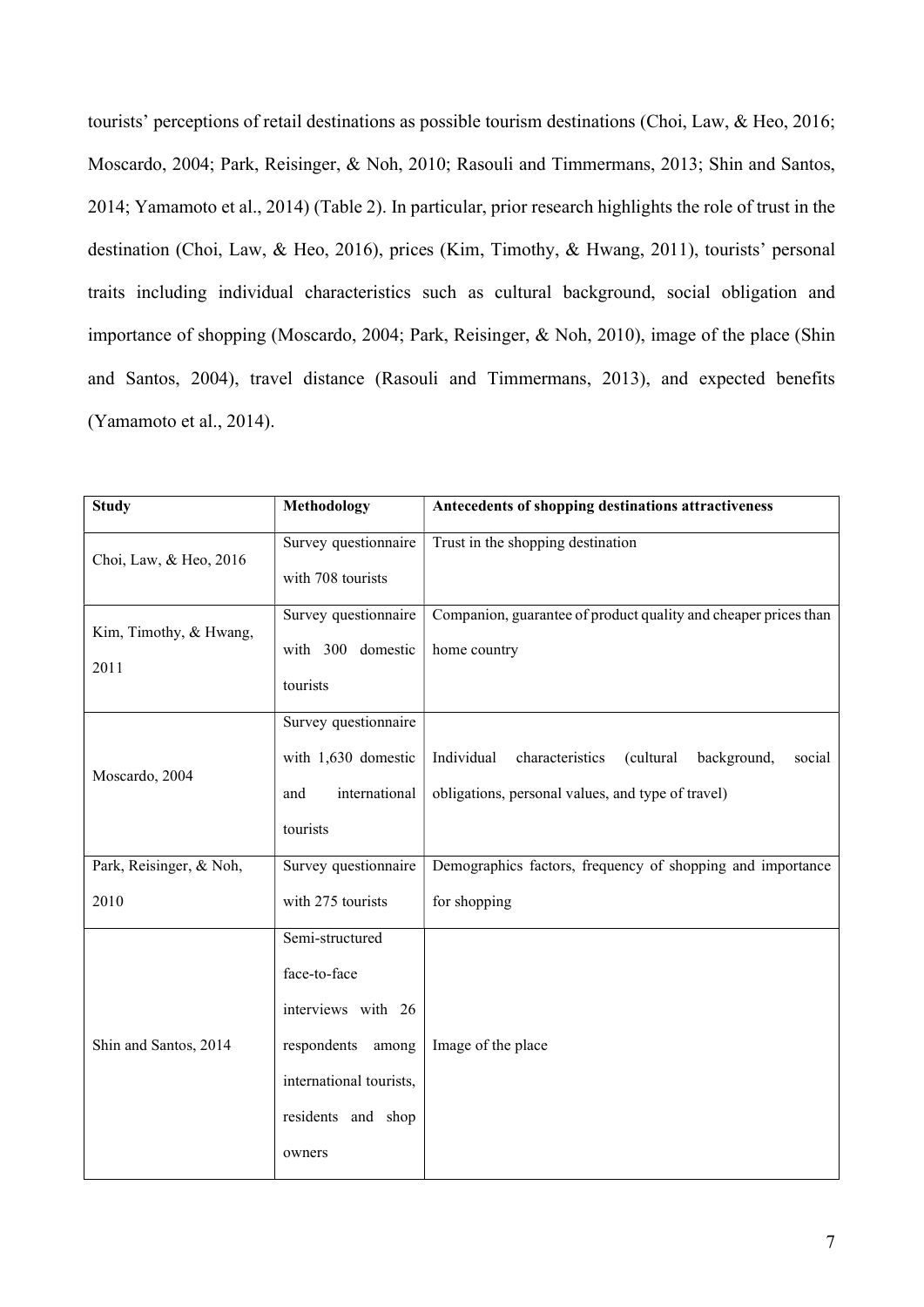tourists' perceptions of retail destinations as possible tourism destinations (Choi, Law, & Heo, 2016; Moscardo, 2004; Park, Reisinger, & Noh, 2010; Rasouli and Timmermans, 2013; Shin and Santos, 2014; Yamamoto et al., 2014) (Table 2). In particular, prior research highlights the role of trust in the destination (Choi, Law, & Heo, 2016), prices (Kim, Timothy, & Hwang, 2011), tourists' personal traits including individual characteristics such as cultural background, social obligation and importance of shopping (Moscardo, 2004; Park, Reisinger, & Noh, 2010), image of the place (Shin and Santos, 2004), travel distance (Rasouli and Timmermans, 2013), and expected benefits (Yamamoto et al., 2014).

| <b>Study</b>                   | <b>Methodology</b>      | Antecedents of shopping destinations attractiveness                 |
|--------------------------------|-------------------------|---------------------------------------------------------------------|
| Choi, Law, & Heo, 2016         | Survey questionnaire    | Trust in the shopping destination                                   |
|                                | with 708 tourists       |                                                                     |
| Kim, Timothy, & Hwang,<br>2011 | Survey questionnaire    | Companion, guarantee of product quality and cheaper prices than     |
|                                | with 300 domestic       | home country                                                        |
|                                | tourists                |                                                                     |
| Moscardo, 2004                 | Survey questionnaire    |                                                                     |
|                                | with 1,630 domestic     | Individual<br>characteristics<br>(cultural<br>background,<br>social |
|                                | international<br>and    | obligations, personal values, and type of travel)                   |
|                                | tourists                |                                                                     |
| Park, Reisinger, & Noh,        | Survey questionnaire    | Demographics factors, frequency of shopping and importance          |
| 2010                           | with 275 tourists       | for shopping                                                        |
| Shin and Santos, 2014          | Semi-structured         |                                                                     |
|                                | face-to-face            |                                                                     |
|                                | interviews with 26      |                                                                     |
|                                | respondents<br>among    | Image of the place                                                  |
|                                | international tourists, |                                                                     |
|                                | residents and shop      |                                                                     |
|                                | owners                  |                                                                     |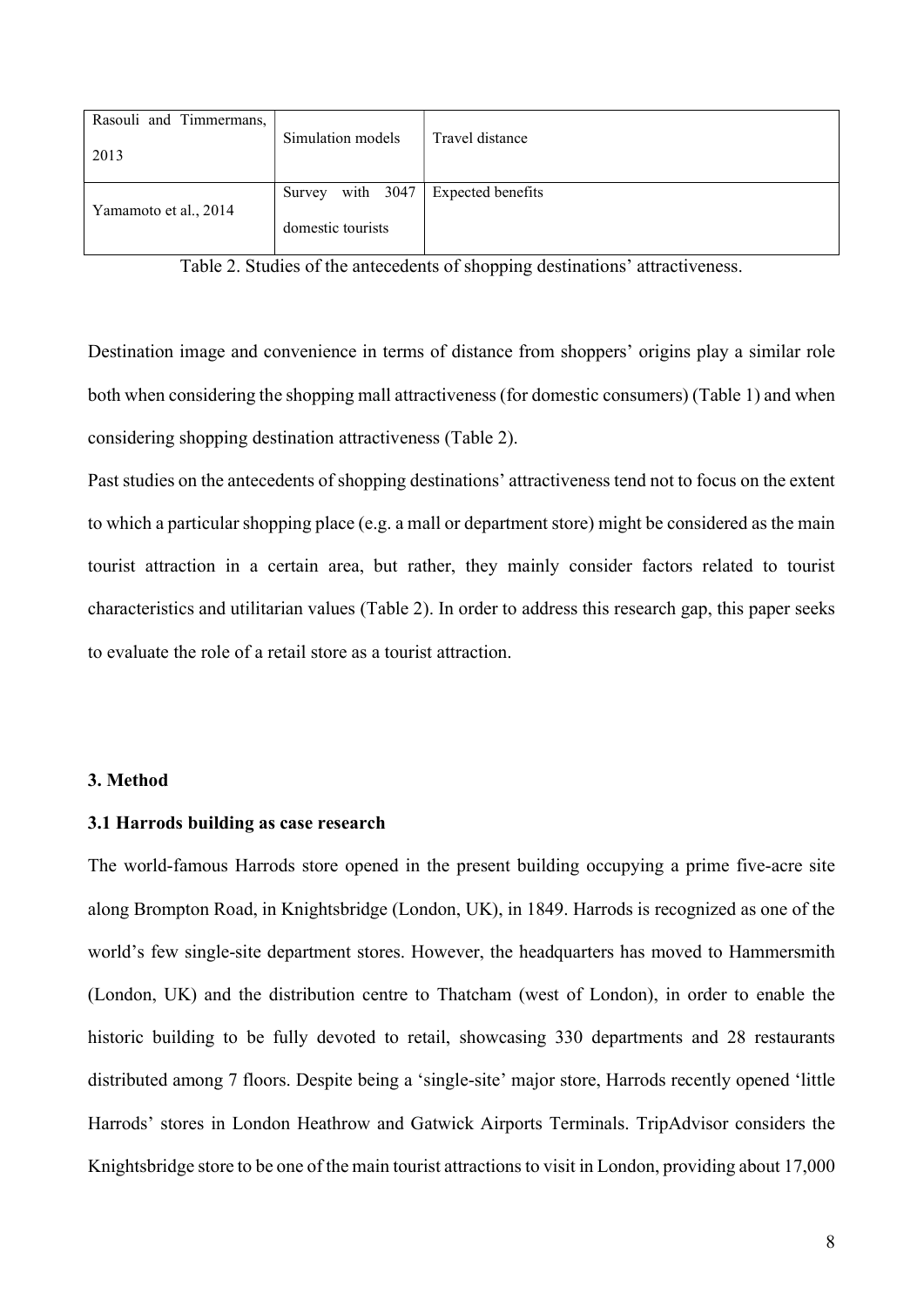| Rasouli and Timmermans,<br>2013 | Simulation models                          | Travel distance   |
|---------------------------------|--------------------------------------------|-------------------|
| Yamamoto et al., 2014           | with $3047$<br>Survey<br>domestic tourists | Expected benefits |

Table 2. Studies of the antecedents of shopping destinations' attractiveness.

Destination image and convenience in terms of distance from shoppers' origins play a similar role both when considering the shopping mall attractiveness (for domestic consumers) (Table 1) and when considering shopping destination attractiveness (Table 2).

Past studies on the antecedents of shopping destinations' attractiveness tend not to focus on the extent to which a particular shopping place (e.g. a mall or department store) might be considered as the main tourist attraction in a certain area, but rather, they mainly consider factors related to tourist characteristics and utilitarian values (Table 2). In order to address this research gap, this paper seeks to evaluate the role of a retail store as a tourist attraction.

# 3. Method

# 3.1 Harrods building as case research

The world-famous Harrods store opened in the present building occupying a prime five-acre site along Brompton Road, in Knightsbridge (London, UK), in 1849. Harrods is recognized as one of the world's few single-site department stores. However, the headquarters has moved to Hammersmith (London, UK) and the distribution centre to Thatcham (west of London), in order to enable the historic building to be fully devoted to retail, showcasing 330 departments and 28 restaurants distributed among 7 floors. Despite being a 'single-site' major store, Harrods recently opened 'little Harrods' stores in London Heathrow and Gatwick Airports Terminals. TripAdvisor considers the Knightsbridge store to be one of the main tourist attractions to visit in London, providing about 17,000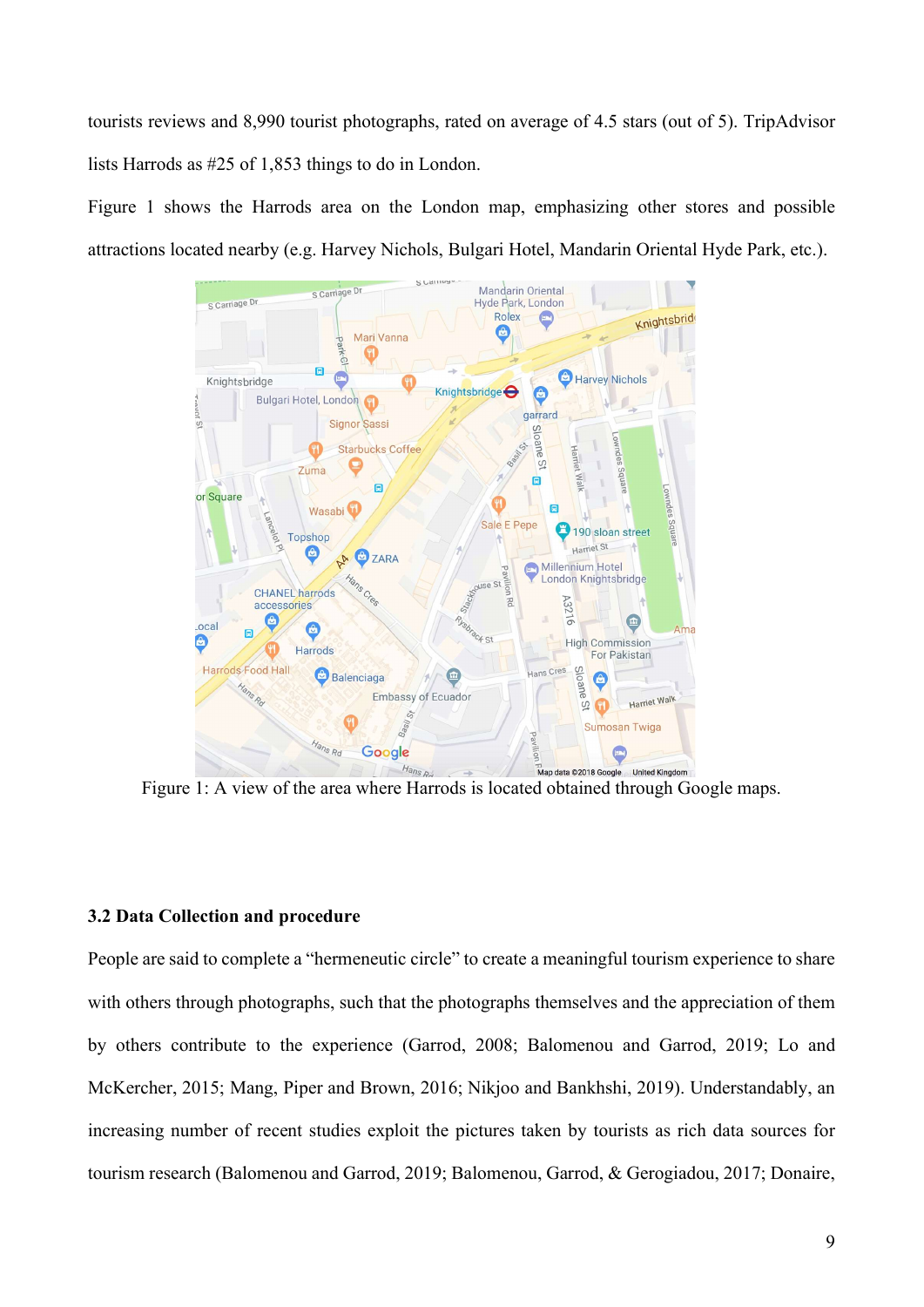tourists reviews and 8,990 tourist photographs, rated on average of 4.5 stars (out of 5). TripAdvisor lists Harrods as #25 of 1,853 things to do in London.

Figure 1 shows the Harrods area on the London map, emphasizing other stores and possible attractions located nearby (e.g. Harvey Nichols, Bulgari Hotel, Mandarin Oriental Hyde Park, etc.).



Figure 1: A view of the area where Harrods is located obtained through Google maps.

## 3.2 Data Collection and procedure

People are said to complete a "hermeneutic circle" to create a meaningful tourism experience to share with others through photographs, such that the photographs themselves and the appreciation of them by others contribute to the experience (Garrod, 2008; Balomenou and Garrod, 2019; Lo and McKercher, 2015; Mang, Piper and Brown, 2016; Nikjoo and Bankhshi, 2019). Understandably, an increasing number of recent studies exploit the pictures taken by tourists as rich data sources for tourism research (Balomenou and Garrod, 2019; Balomenou, Garrod, & Gerogiadou, 2017; Donaire,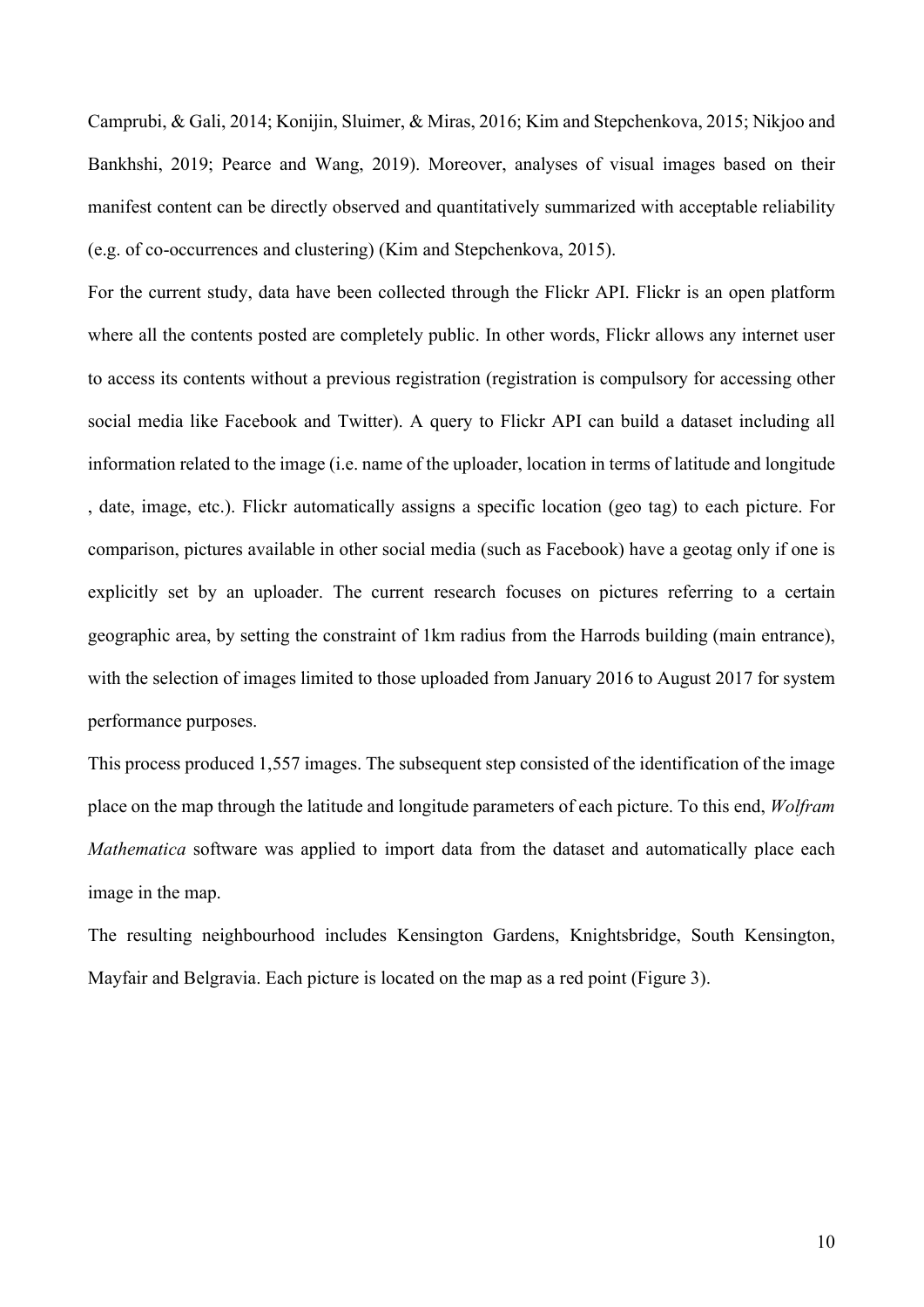Camprubi, & Gali, 2014; Konijin, Sluimer, & Miras, 2016; Kim and Stepchenkova, 2015; Nikjoo and Bankhshi, 2019; Pearce and Wang, 2019). Moreover, analyses of visual images based on their manifest content can be directly observed and quantitatively summarized with acceptable reliability (e.g. of co-occurrences and clustering) (Kim and Stepchenkova, 2015).

For the current study, data have been collected through the Flickr API. Flickr is an open platform where all the contents posted are completely public. In other words, Flickr allows any internet user to access its contents without a previous registration (registration is compulsory for accessing other social media like Facebook and Twitter). A query to Flickr API can build a dataset including all information related to the image (i.e. name of the uploader, location in terms of latitude and longitude , date, image, etc.). Flickr automatically assigns a specific location (geo tag) to each picture. For comparison, pictures available in other social media (such as Facebook) have a geotag only if one is explicitly set by an uploader. The current research focuses on pictures referring to a certain geographic area, by setting the constraint of 1km radius from the Harrods building (main entrance), with the selection of images limited to those uploaded from January 2016 to August 2017 for system performance purposes.

This process produced 1,557 images. The subsequent step consisted of the identification of the image place on the map through the latitude and longitude parameters of each picture. To this end, Wolfram Mathematica software was applied to import data from the dataset and automatically place each image in the map.

The resulting neighbourhood includes Kensington Gardens, Knightsbridge, South Kensington, Mayfair and Belgravia. Each picture is located on the map as a red point (Figure 3).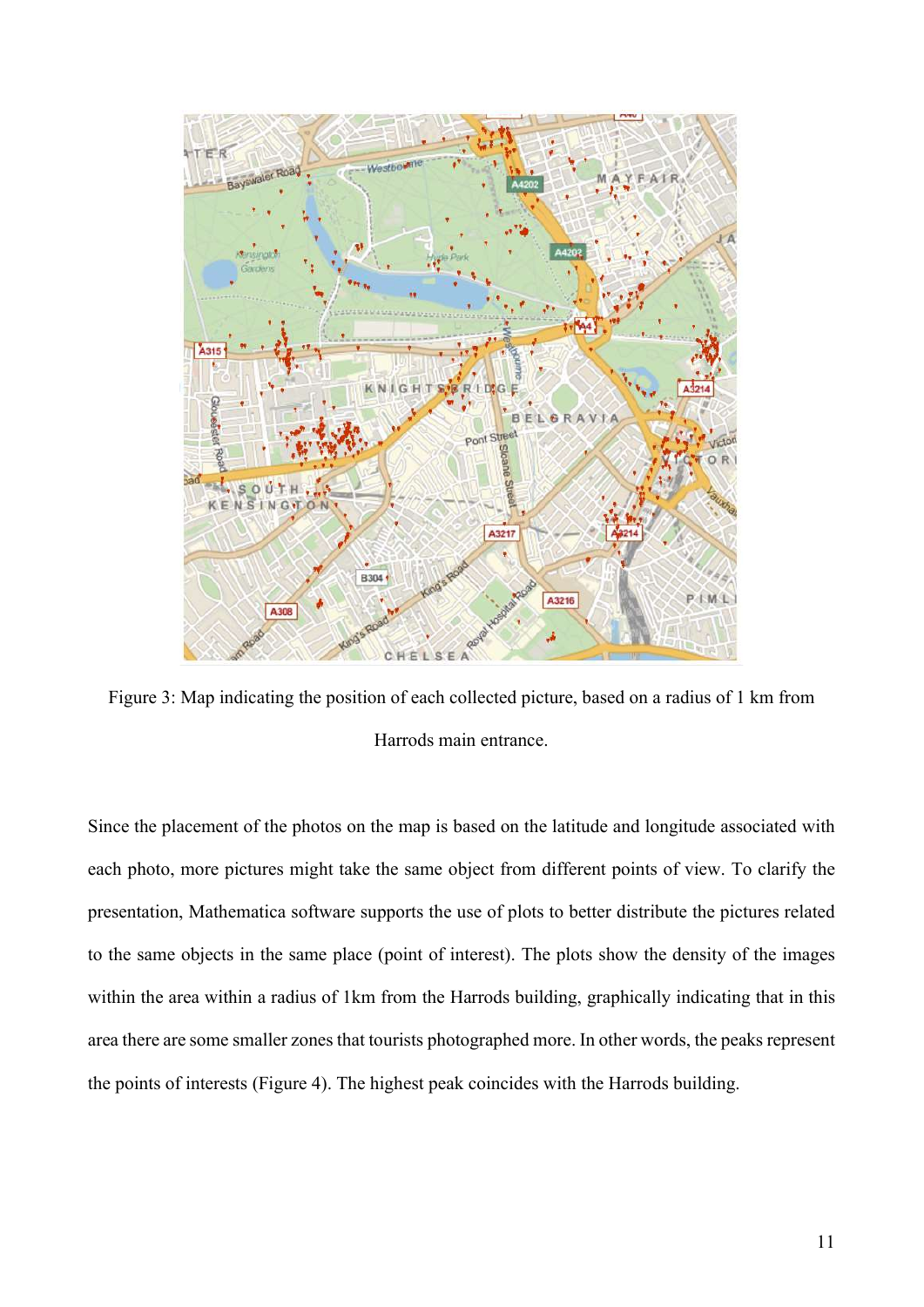

Figure 3: Map indicating the position of each collected picture, based on a radius of 1 km from Harrods main entrance.

Since the placement of the photos on the map is based on the latitude and longitude associated with each photo, more pictures might take the same object from different points of view. To clarify the presentation, Mathematica software supports the use of plots to better distribute the pictures related to the same objects in the same place (point of interest). The plots show the density of the images within the area within a radius of 1km from the Harrods building, graphically indicating that in this area there are some smaller zones that tourists photographed more. In other words, the peaks represent the points of interests (Figure 4). The highest peak coincides with the Harrods building.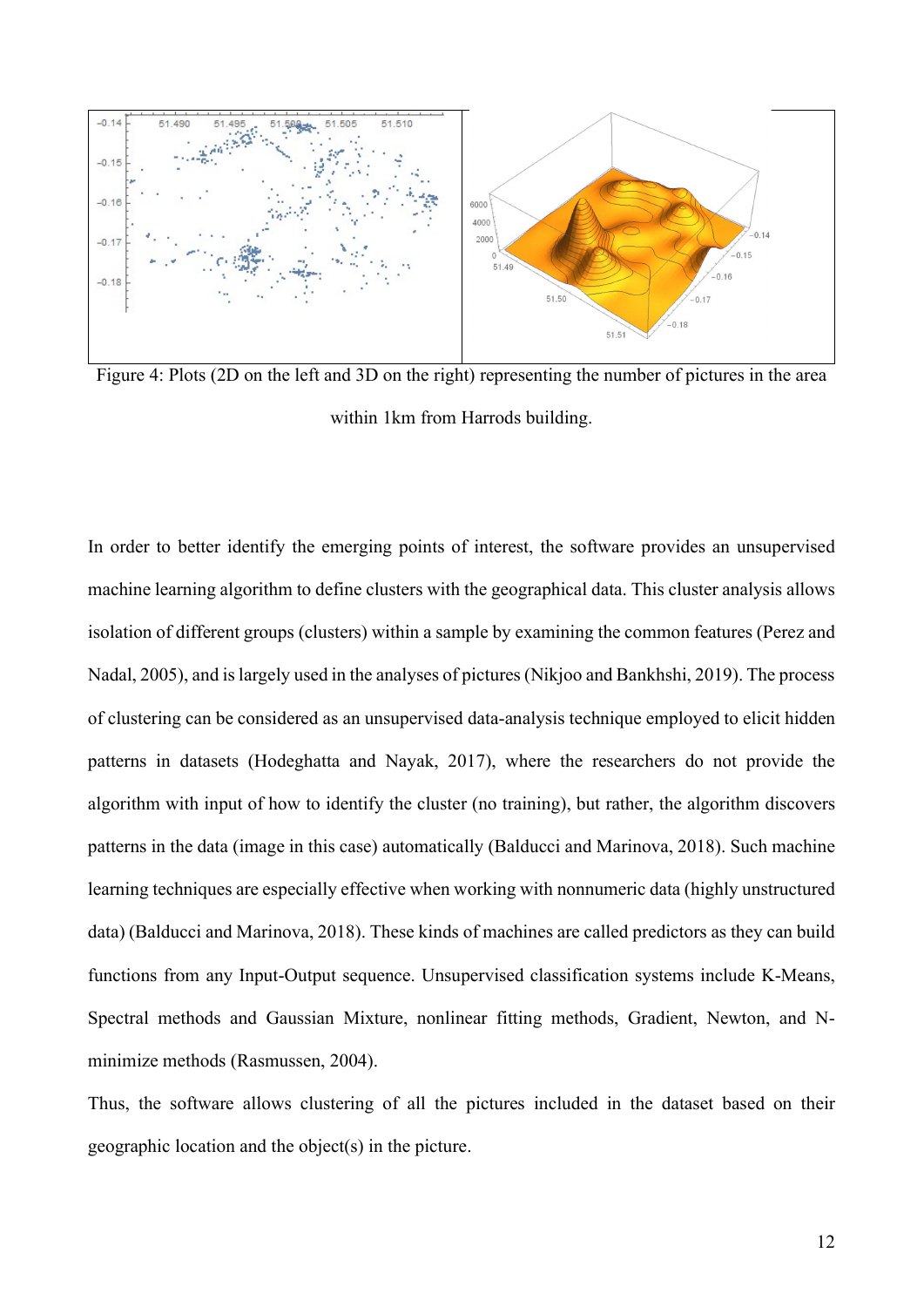

Figure 4: Plots (2D on the left and 3D on the right) representing the number of pictures in the area within 1km from Harrods building.

In order to better identify the emerging points of interest, the software provides an unsupervised machine learning algorithm to define clusters with the geographical data. This cluster analysis allows isolation of different groups (clusters) within a sample by examining the common features (Perez and Nadal, 2005), and is largely used in the analyses of pictures (Nikjoo and Bankhshi, 2019). The process of clustering can be considered as an unsupervised data-analysis technique employed to elicit hidden patterns in datasets (Hodeghatta and Nayak, 2017), where the researchers do not provide the algorithm with input of how to identify the cluster (no training), but rather, the algorithm discovers patterns in the data (image in this case) automatically (Balducci and Marinova, 2018). Such machine learning techniques are especially effective when working with nonnumeric data (highly unstructured data) (Balducci and Marinova, 2018). These kinds of machines are called predictors as they can build functions from any Input-Output sequence. Unsupervised classification systems include K-Means, Spectral methods and Gaussian Mixture, nonlinear fitting methods, Gradient, Newton, and Nminimize methods (Rasmussen, 2004).

Thus, the software allows clustering of all the pictures included in the dataset based on their geographic location and the object(s) in the picture.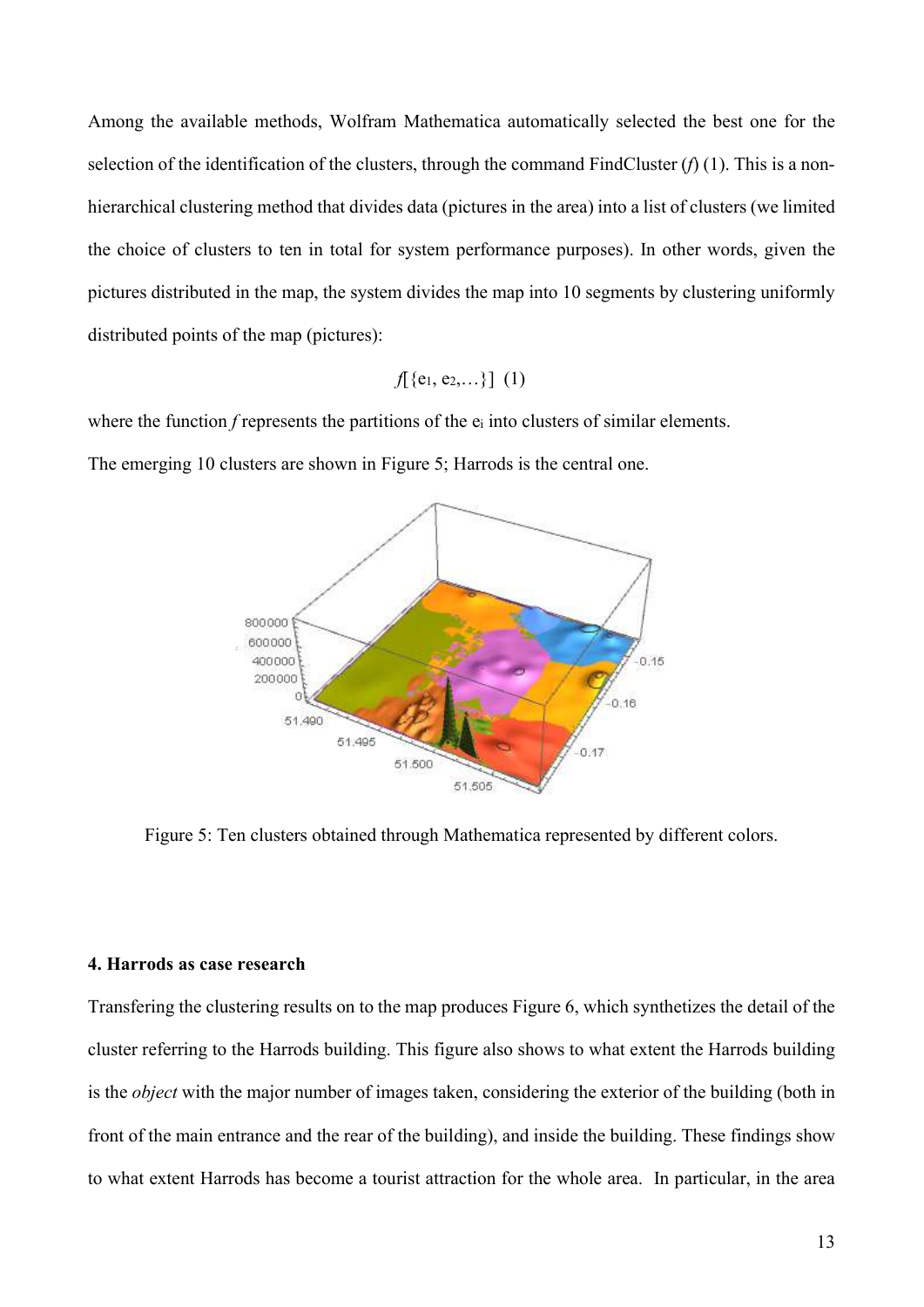Among the available methods, Wolfram Mathematica automatically selected the best one for the selection of the identification of the clusters, through the command FindCluster  $(f)$  (1). This is a nonhierarchical clustering method that divides data (pictures in the area) into a list of clusters (we limited the choice of clusters to ten in total for system performance purposes). In other words, given the pictures distributed in the map, the system divides the map into 10 segments by clustering uniformly distributed points of the map (pictures):

$$
f[\{e_1, e_2,...\}]\,\,(1)
$$

where the function f represents the partitions of the  $e_i$  into clusters of similar elements.

The emerging 10 clusters are shown in Figure 5; Harrods is the central one.



Figure 5: Ten clusters obtained through Mathematica represented by different colors.

# 4. Harrods as case research

Transfering the clustering results on to the map produces Figure 6, which synthetizes the detail of the cluster referring to the Harrods building. This figure also shows to what extent the Harrods building is the object with the major number of images taken, considering the exterior of the building (both in front of the main entrance and the rear of the building), and inside the building. These findings show to what extent Harrods has become a tourist attraction for the whole area. In particular, in the area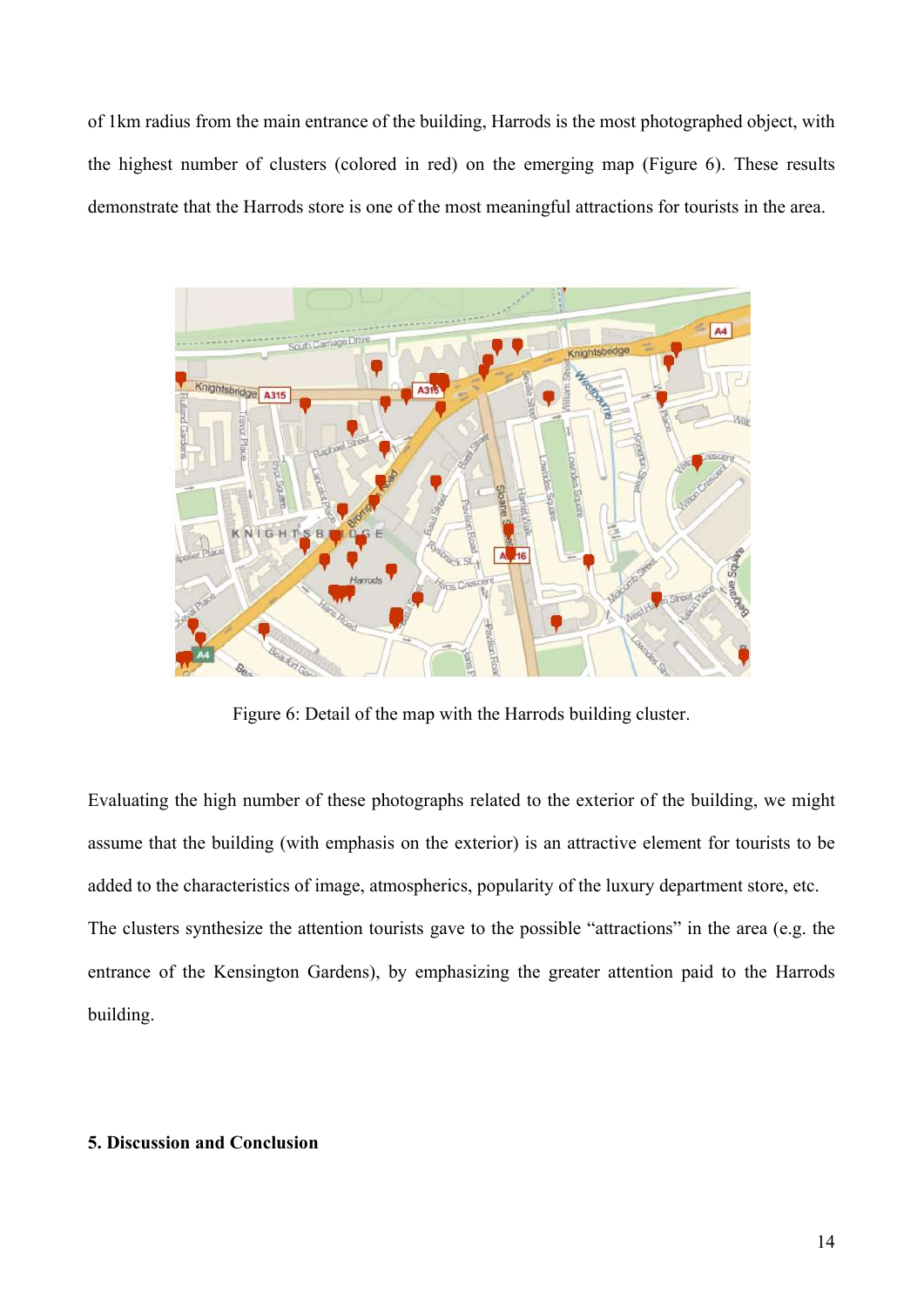of 1km radius from the main entrance of the building, Harrods is the most photographed object, with the highest number of clusters (colored in red) on the emerging map (Figure 6). These results demonstrate that the Harrods store is one of the most meaningful attractions for tourists in the area.



Figure 6: Detail of the map with the Harrods building cluster.

Evaluating the high number of these photographs related to the exterior of the building, we might assume that the building (with emphasis on the exterior) is an attractive element for tourists to be added to the characteristics of image, atmospherics, popularity of the luxury department store, etc. The clusters synthesize the attention tourists gave to the possible "attractions" in the area (e.g. the entrance of the Kensington Gardens), by emphasizing the greater attention paid to the Harrods building.

## 5. Discussion and Conclusion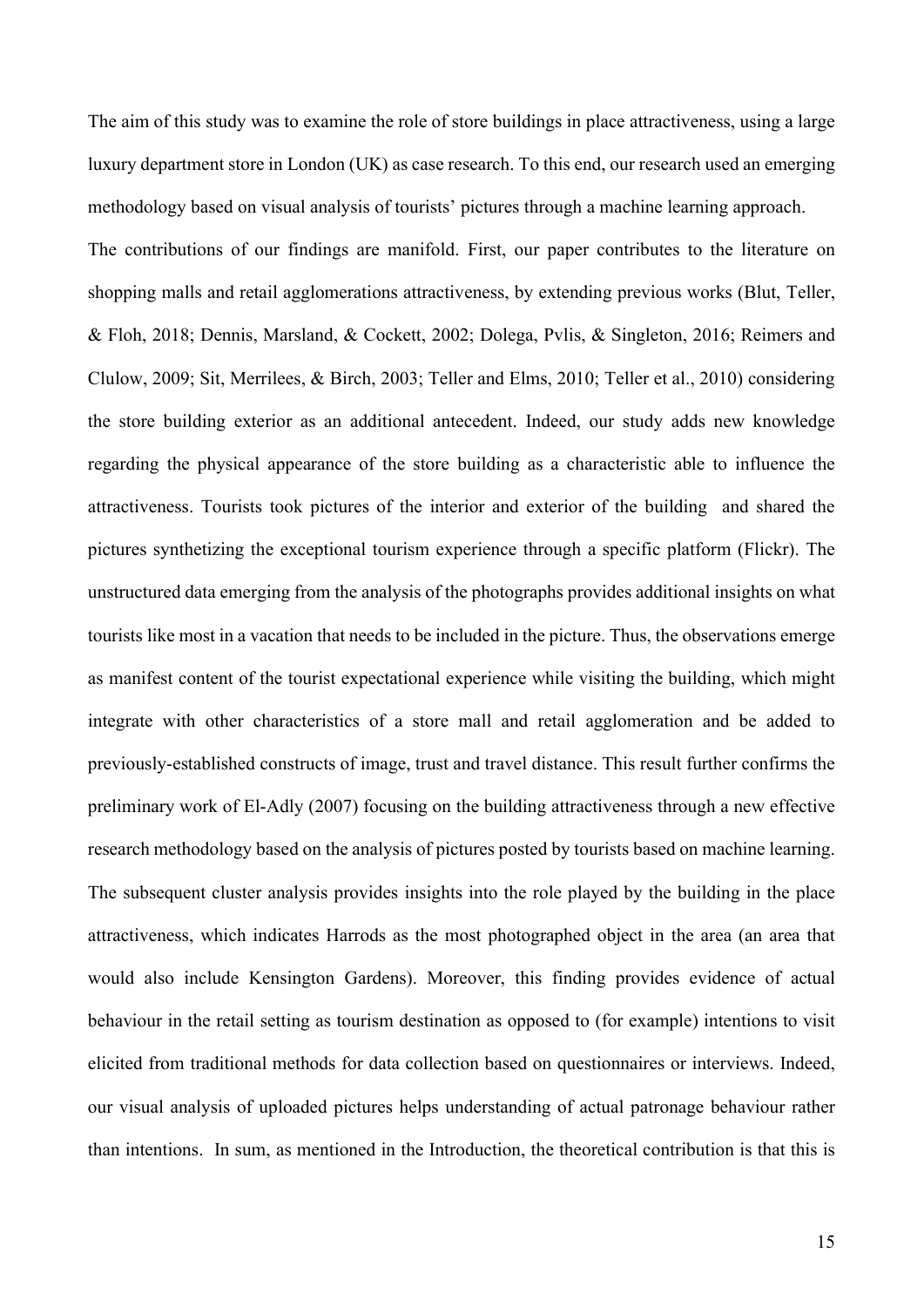The aim of this study was to examine the role of store buildings in place attractiveness, using a large luxury department store in London (UK) as case research. To this end, our research used an emerging methodology based on visual analysis of tourists' pictures through a machine learning approach. The contributions of our findings are manifold. First, our paper contributes to the literature on shopping malls and retail agglomerations attractiveness, by extending previous works (Blut, Teller, & Floh, 2018; Dennis, Marsland, & Cockett, 2002; Dolega, Pvlis, & Singleton, 2016; Reimers and Clulow, 2009; Sit, Merrilees, & Birch, 2003; Teller and Elms, 2010; Teller et al., 2010) considering the store building exterior as an additional antecedent. Indeed, our study adds new knowledge regarding the physical appearance of the store building as a characteristic able to influence the attractiveness. Tourists took pictures of the interior and exterior of the building and shared the pictures synthetizing the exceptional tourism experience through a specific platform (Flickr). The unstructured data emerging from the analysis of the photographs provides additional insights on what tourists like most in a vacation that needs to be included in the picture. Thus, the observations emerge as manifest content of the tourist expectational experience while visiting the building, which might integrate with other characteristics of a store mall and retail agglomeration and be added to previously-established constructs of image, trust and travel distance. This result further confirms the preliminary work of El-Adly (2007) focusing on the building attractiveness through a new effective research methodology based on the analysis of pictures posted by tourists based on machine learning. The subsequent cluster analysis provides insights into the role played by the building in the place attractiveness, which indicates Harrods as the most photographed object in the area (an area that would also include Kensington Gardens). Moreover, this finding provides evidence of actual behaviour in the retail setting as tourism destination as opposed to (for example) intentions to visit elicited from traditional methods for data collection based on questionnaires or interviews. Indeed, our visual analysis of uploaded pictures helps understanding of actual patronage behaviour rather than intentions. In sum, as mentioned in the Introduction, the theoretical contribution is that this is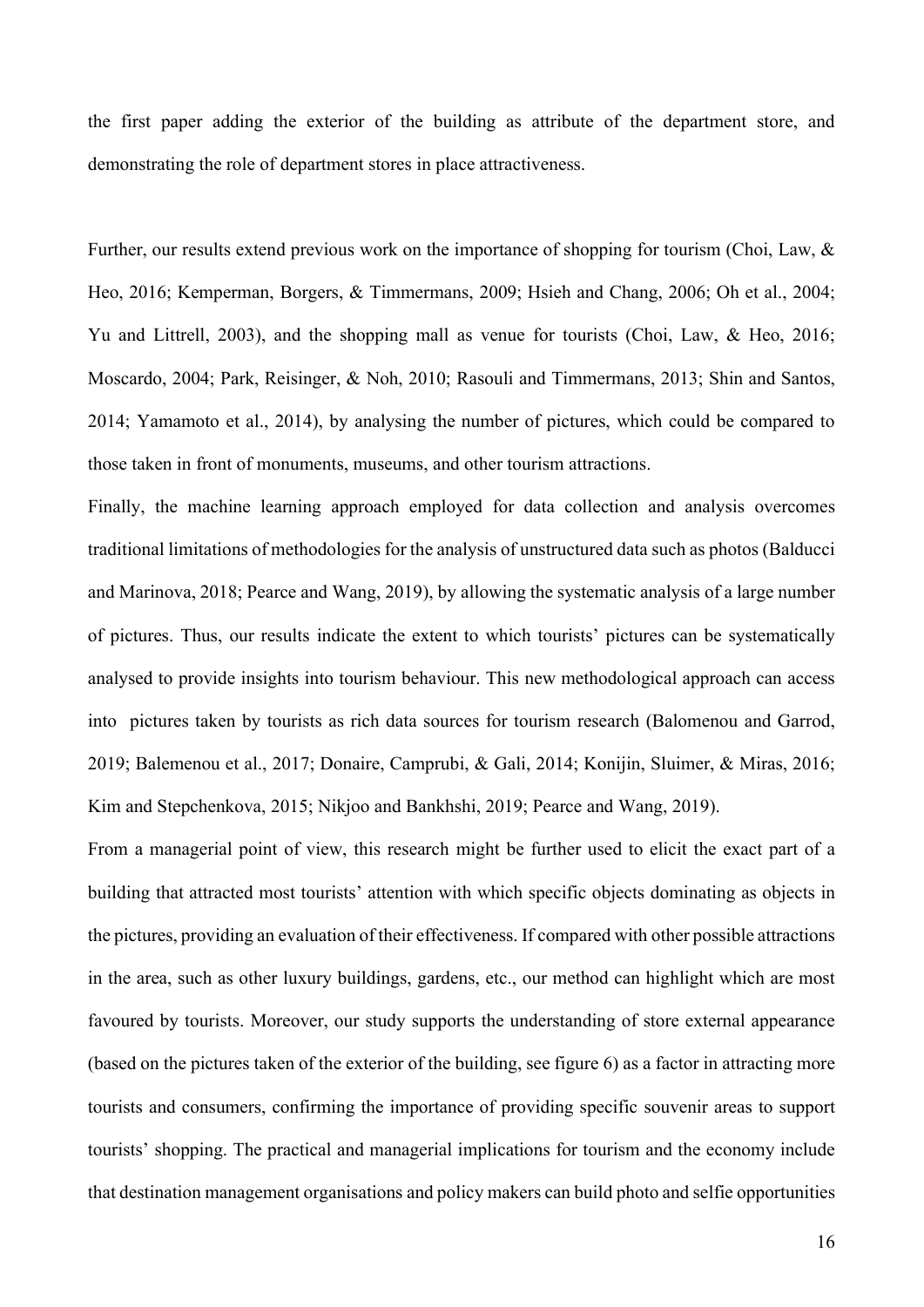the first paper adding the exterior of the building as attribute of the department store, and demonstrating the role of department stores in place attractiveness.

Further, our results extend previous work on the importance of shopping for tourism (Choi, Law, & Heo, 2016; Kemperman, Borgers, & Timmermans, 2009; Hsieh and Chang, 2006; Oh et al., 2004; Yu and Littrell, 2003), and the shopping mall as venue for tourists (Choi, Law, & Heo, 2016; Moscardo, 2004; Park, Reisinger, & Noh, 2010; Rasouli and Timmermans, 2013; Shin and Santos, 2014; Yamamoto et al., 2014), by analysing the number of pictures, which could be compared to those taken in front of monuments, museums, and other tourism attractions.

Finally, the machine learning approach employed for data collection and analysis overcomes traditional limitations of methodologies for the analysis of unstructured data such as photos (Balducci and Marinova, 2018; Pearce and Wang, 2019), by allowing the systematic analysis of a large number of pictures. Thus, our results indicate the extent to which tourists' pictures can be systematically analysed to provide insights into tourism behaviour. This new methodological approach can access into pictures taken by tourists as rich data sources for tourism research (Balomenou and Garrod, 2019; Balemenou et al., 2017; Donaire, Camprubi, & Gali, 2014; Konijin, Sluimer, & Miras, 2016; Kim and Stepchenkova, 2015; Nikjoo and Bankhshi, 2019; Pearce and Wang, 2019).

From a managerial point of view, this research might be further used to elicit the exact part of a building that attracted most tourists' attention with which specific objects dominating as objects in the pictures, providing an evaluation of their effectiveness. If compared with other possible attractions in the area, such as other luxury buildings, gardens, etc., our method can highlight which are most favoured by tourists. Moreover, our study supports the understanding of store external appearance (based on the pictures taken of the exterior of the building, see figure 6) as a factor in attracting more tourists and consumers, confirming the importance of providing specific souvenir areas to support tourists' shopping. The practical and managerial implications for tourism and the economy include that destination management organisations and policy makers can build photo and selfie opportunities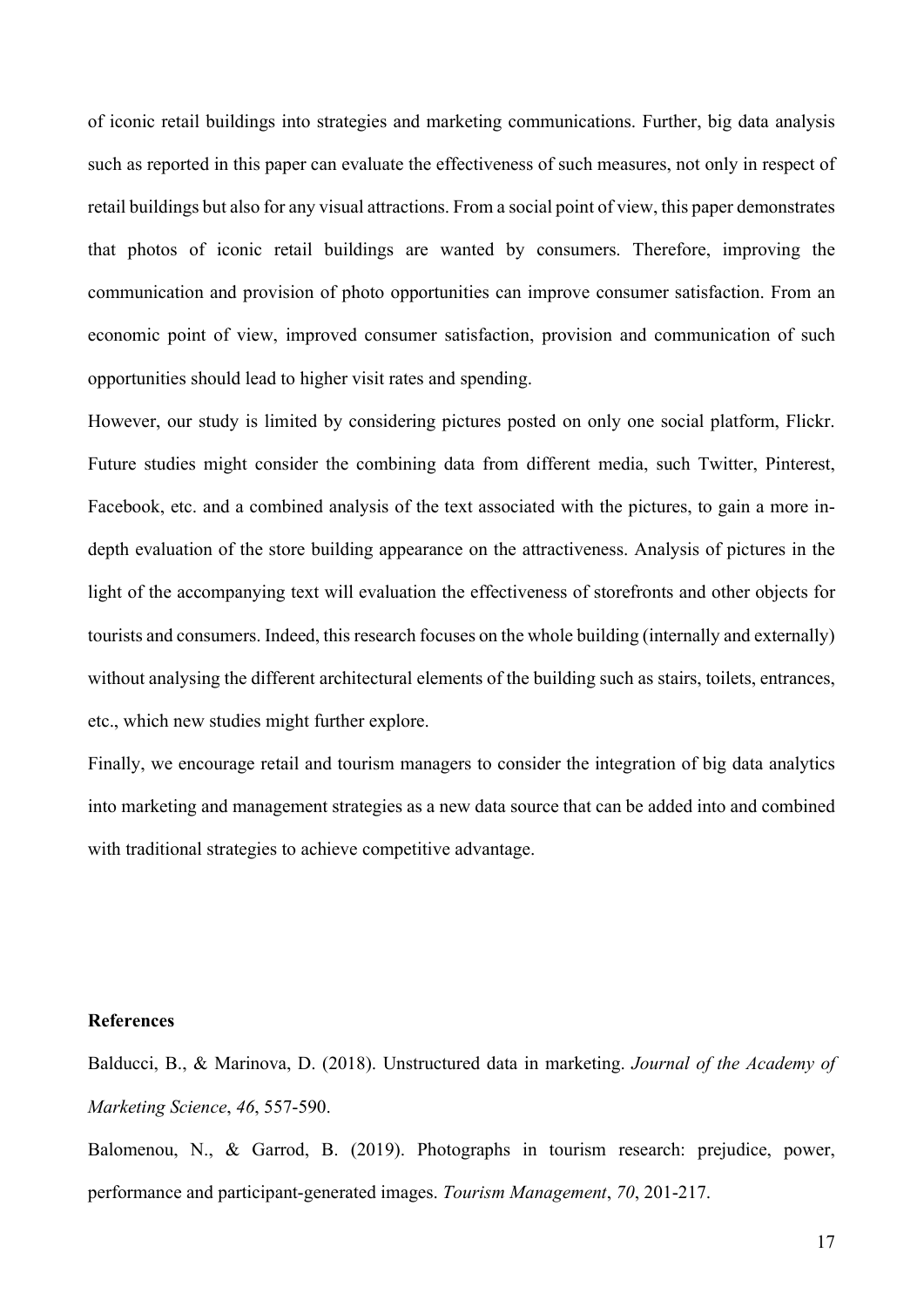of iconic retail buildings into strategies and marketing communications. Further, big data analysis such as reported in this paper can evaluate the effectiveness of such measures, not only in respect of retail buildings but also for any visual attractions. From a social point of view, this paper demonstrates that photos of iconic retail buildings are wanted by consumers. Therefore, improving the communication and provision of photo opportunities can improve consumer satisfaction. From an economic point of view, improved consumer satisfaction, provision and communication of such opportunities should lead to higher visit rates and spending.

However, our study is limited by considering pictures posted on only one social platform, Flickr. Future studies might consider the combining data from different media, such Twitter, Pinterest, Facebook, etc. and a combined analysis of the text associated with the pictures, to gain a more indepth evaluation of the store building appearance on the attractiveness. Analysis of pictures in the light of the accompanying text will evaluation the effectiveness of storefronts and other objects for tourists and consumers. Indeed, this research focuses on the whole building (internally and externally) without analysing the different architectural elements of the building such as stairs, toilets, entrances, etc., which new studies might further explore.

Finally, we encourage retail and tourism managers to consider the integration of big data analytics into marketing and management strategies as a new data source that can be added into and combined with traditional strategies to achieve competitive advantage.

## References

Balducci, B., & Marinova, D. (2018). Unstructured data in marketing. Journal of the Academy of Marketing Science, 46, 557-590.

Balomenou, N., & Garrod, B. (2019). Photographs in tourism research: prejudice, power, performance and participant-generated images. Tourism Management, 70, 201-217.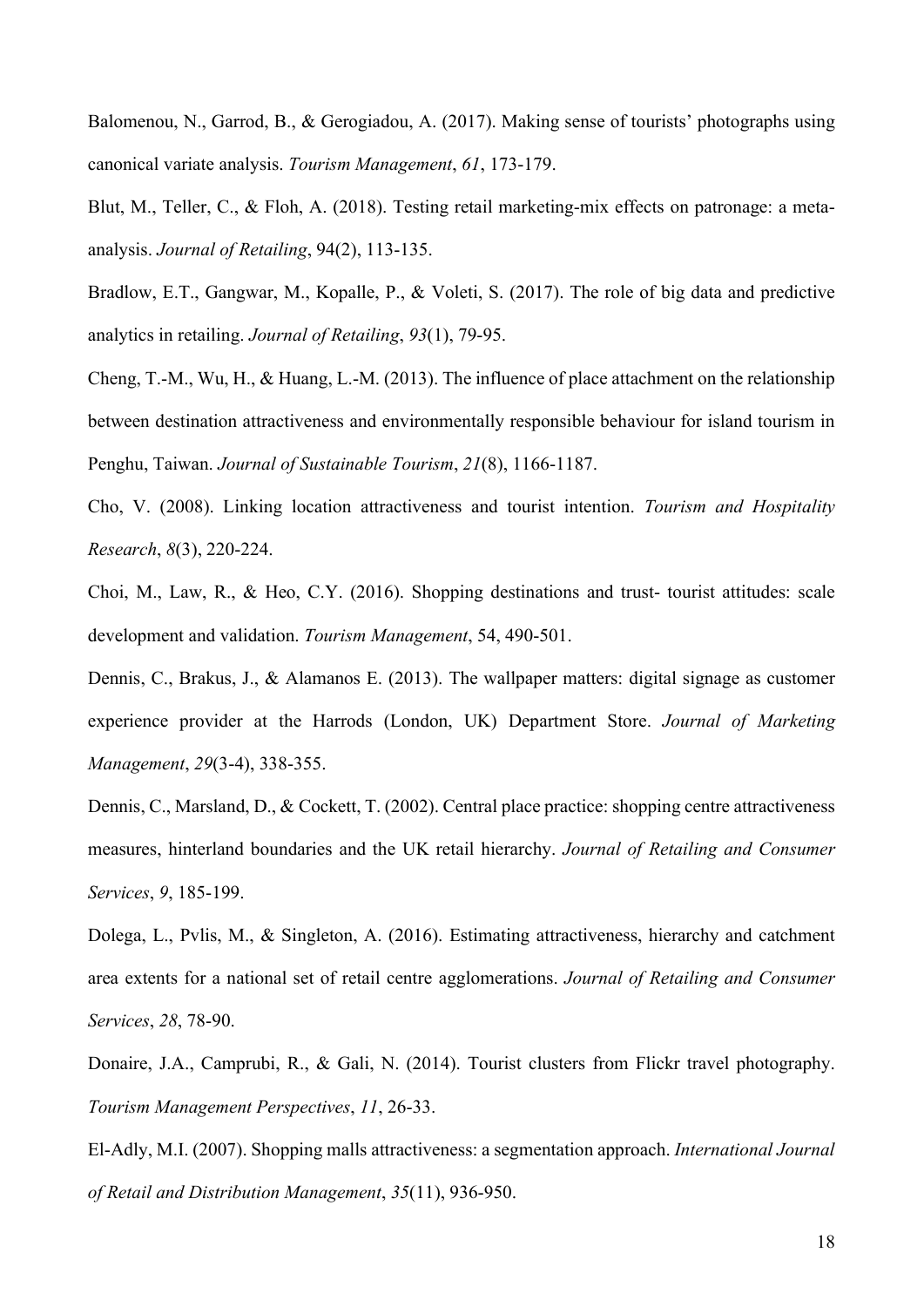Balomenou, N., Garrod, B., & Gerogiadou, A. (2017). Making sense of tourists' photographs using canonical variate analysis. Tourism Management, 61, 173-179.

Blut, M., Teller, C., & Floh, A. (2018). Testing retail marketing-mix effects on patronage: a metaanalysis. Journal of Retailing, 94(2), 113-135.

Bradlow, E.T., Gangwar, M., Kopalle, P., & Voleti, S. (2017). The role of big data and predictive analytics in retailing. Journal of Retailing, 93(1), 79-95.

Cheng, T.-M., Wu, H., & Huang, L.-M. (2013). The influence of place attachment on the relationship between destination attractiveness and environmentally responsible behaviour for island tourism in Penghu, Taiwan. Journal of Sustainable Tourism, 21(8), 1166-1187.

Cho, V. (2008). Linking location attractiveness and tourist intention. Tourism and Hospitality Research, 8(3), 220-224.

Choi, M., Law, R., & Heo, C.Y. (2016). Shopping destinations and trust- tourist attitudes: scale development and validation. Tourism Management, 54, 490-501.

Dennis, C., Brakus, J., & Alamanos E. (2013). The wallpaper matters: digital signage as customer experience provider at the Harrods (London, UK) Department Store. Journal of Marketing Management, 29(3-4), 338-355.

Dennis, C., Marsland, D., & Cockett, T. (2002). Central place practice: shopping centre attractiveness measures, hinterland boundaries and the UK retail hierarchy. Journal of Retailing and Consumer Services, 9, 185-199.

Dolega, L., Pvlis, M., & Singleton, A. (2016). Estimating attractiveness, hierarchy and catchment area extents for a national set of retail centre agglomerations. Journal of Retailing and Consumer Services, 28, 78-90.

Donaire, J.A., Camprubi, R., & Gali, N. (2014). Tourist clusters from Flickr travel photography. Tourism Management Perspectives, 11, 26-33.

El-Adly, M.I. (2007). Shopping malls attractiveness: a segmentation approach. *International Journal* of Retail and Distribution Management, 35(11), 936-950.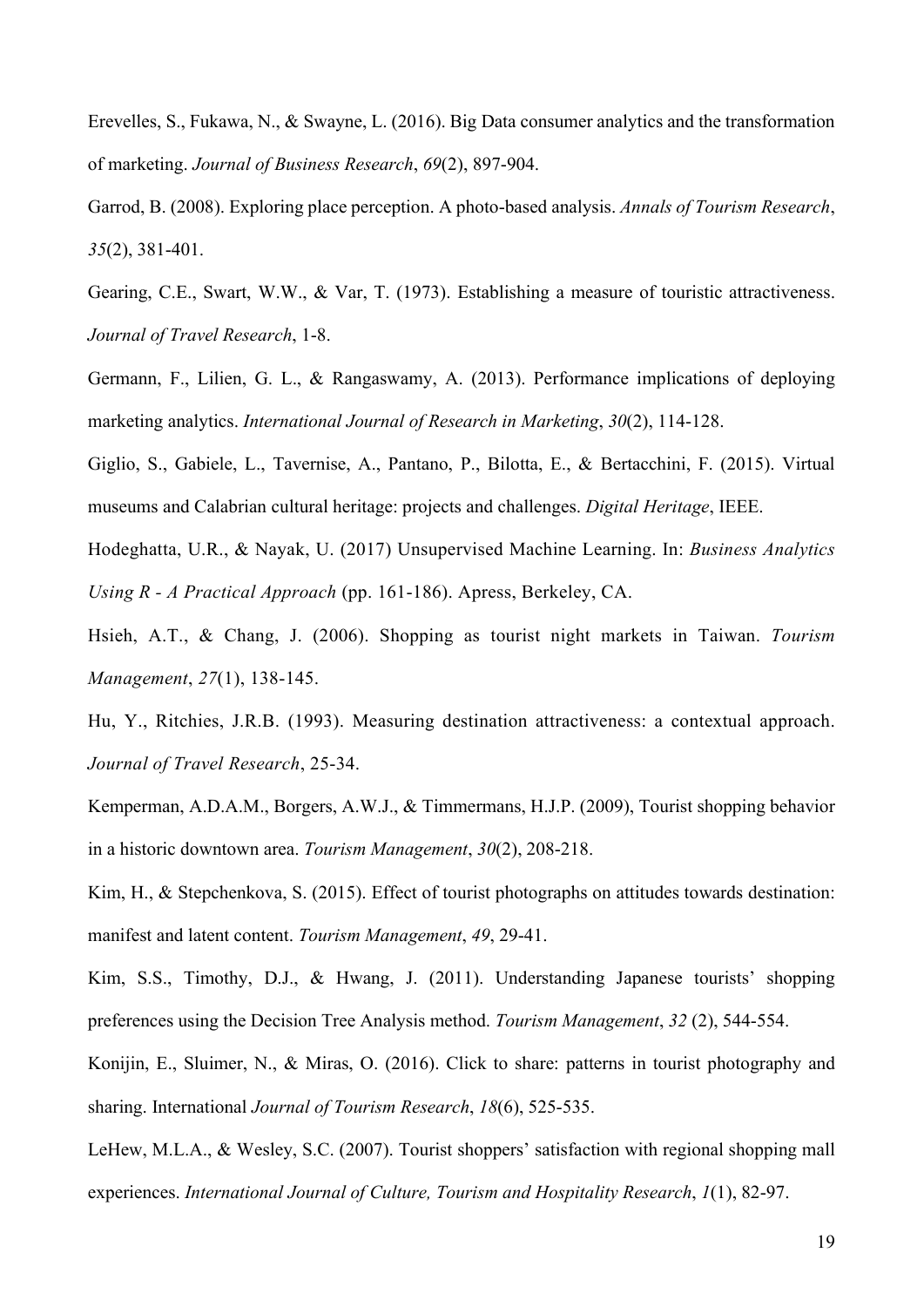Erevelles, S., Fukawa, N., & Swayne, L. (2016). Big Data consumer analytics and the transformation of marketing. Journal of Business Research, 69(2), 897-904.

Garrod, B. (2008). Exploring place perception. A photo-based analysis. Annals of Tourism Research, 35(2), 381-401.

Gearing, C.E., Swart, W.W., & Var, T. (1973). Establishing a measure of touristic attractiveness. Journal of Travel Research, 1-8.

Germann, F., Lilien, G. L., & Rangaswamy, A. (2013). Performance implications of deploying marketing analytics. International Journal of Research in Marketing, 30(2), 114-128.

Giglio, S., Gabiele, L., Tavernise, A., Pantano, P., Bilotta, E., & Bertacchini, F. (2015). Virtual museums and Calabrian cultural heritage: projects and challenges. Digital Heritage, IEEE.

Hodeghatta, U.R., & Nayak, U. (2017) Unsupervised Machine Learning. In: Business Analytics Using R - A Practical Approach (pp. 161-186). Apress, Berkeley, CA.

Hsieh, A.T., & Chang, J. (2006). Shopping as tourist night markets in Taiwan. Tourism Management, 27(1), 138-145.

Hu, Y., Ritchies, J.R.B. (1993). Measuring destination attractiveness: a contextual approach. Journal of Travel Research, 25-34.

Kemperman, A.D.A.M., Borgers, A.W.J., & Timmermans, H.J.P. (2009), Tourist shopping behavior in a historic downtown area. Tourism Management, 30(2), 208-218.

Kim, H., & Stepchenkova, S. (2015). Effect of tourist photographs on attitudes towards destination: manifest and latent content. Tourism Management, 49, 29-41.

Kim, S.S., Timothy, D.J., & Hwang, J. (2011). Understanding Japanese tourists' shopping preferences using the Decision Tree Analysis method. Tourism Management, 32 (2), 544-554.

Konijin, E., Sluimer, N., & Miras, O. (2016). Click to share: patterns in tourist photography and sharing. International Journal of Tourism Research, 18(6), 525-535.

LeHew, M.L.A., & Wesley, S.C. (2007). Tourist shoppers' satisfaction with regional shopping mall experiences. International Journal of Culture, Tourism and Hospitality Research, 1(1), 82-97.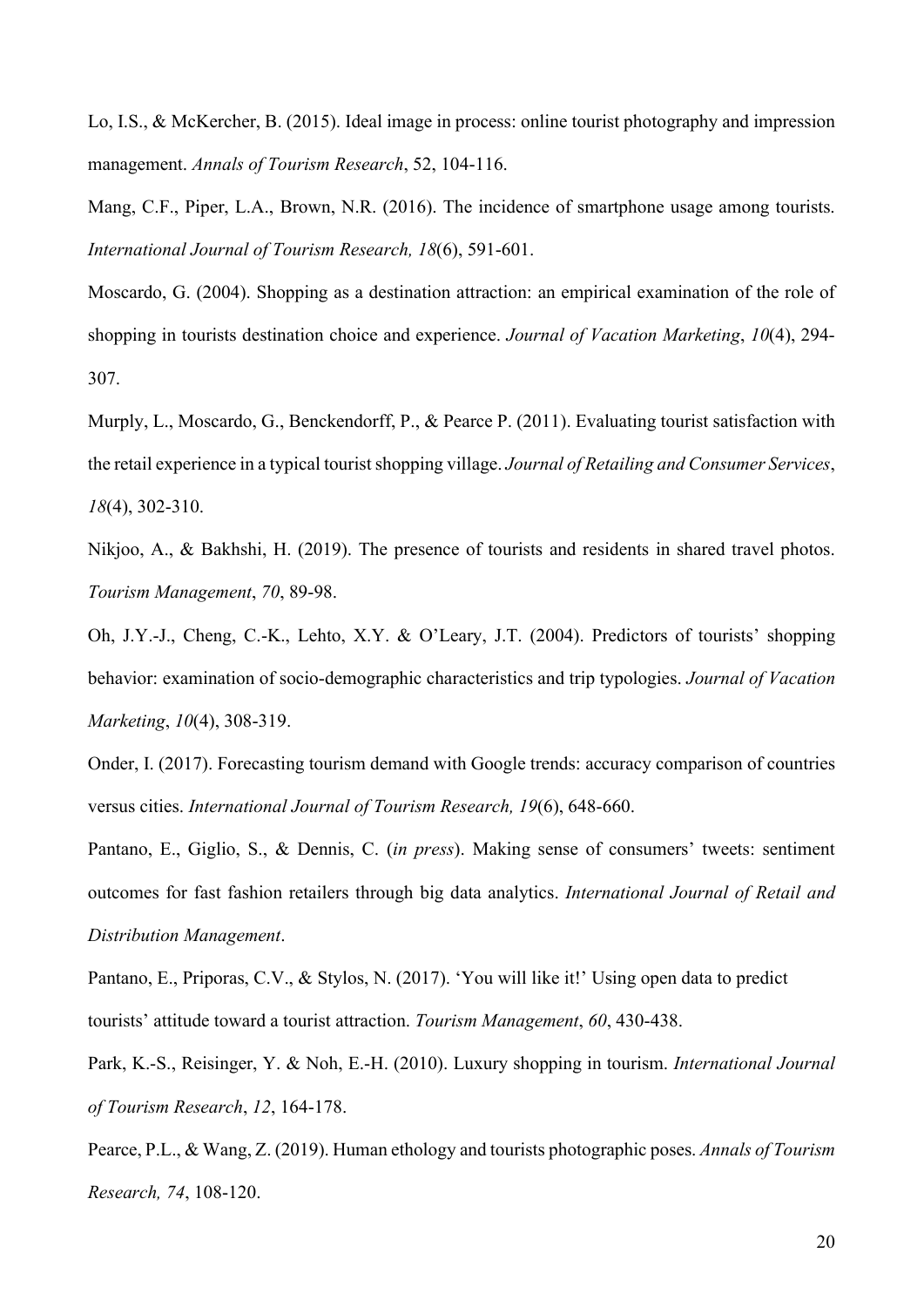Lo, I.S., & McKercher, B. (2015). Ideal image in process: online tourist photography and impression management. Annals of Tourism Research, 52, 104-116.

Mang, C.F., Piper, L.A., Brown, N.R. (2016). The incidence of smartphone usage among tourists. International Journal of Tourism Research, 18(6), 591-601.

Moscardo, G. (2004). Shopping as a destination attraction: an empirical examination of the role of shopping in tourists destination choice and experience. Journal of Vacation Marketing, 10(4), 294- 307.

Murply, L., Moscardo, G., Benckendorff, P., & Pearce P. (2011). Evaluating tourist satisfaction with the retail experience in a typical tourist shopping village. Journal of Retailing and Consumer Services, 18(4), 302-310.

Nikjoo, A., & Bakhshi, H. (2019). The presence of tourists and residents in shared travel photos. Tourism Management, 70, 89-98.

Oh, J.Y.-J., Cheng, C.-K., Lehto, X.Y. & O'Leary, J.T. (2004). Predictors of tourists' shopping behavior: examination of socio-demographic characteristics and trip typologies. Journal of Vacation Marketing, 10(4), 308-319.

Onder, I. (2017). Forecasting tourism demand with Google trends: accuracy comparison of countries versus cities. International Journal of Tourism Research, 19(6), 648-660.

Pantano, E., Giglio, S., & Dennis, C. (in press). Making sense of consumers' tweets: sentiment outcomes for fast fashion retailers through big data analytics. International Journal of Retail and Distribution Management.

Pantano, E., Priporas, C.V., & Stylos, N. (2017). 'You will like it!' Using open data to predict tourists' attitude toward a tourist attraction. Tourism Management, 60, 430-438.

Park, K.-S., Reisinger, Y. & Noh, E.-H. (2010). Luxury shopping in tourism. International Journal of Tourism Research, 12, 164-178.

Pearce, P.L., & Wang, Z. (2019). Human ethology and tourists photographic poses. Annals of Tourism Research, 74, 108-120.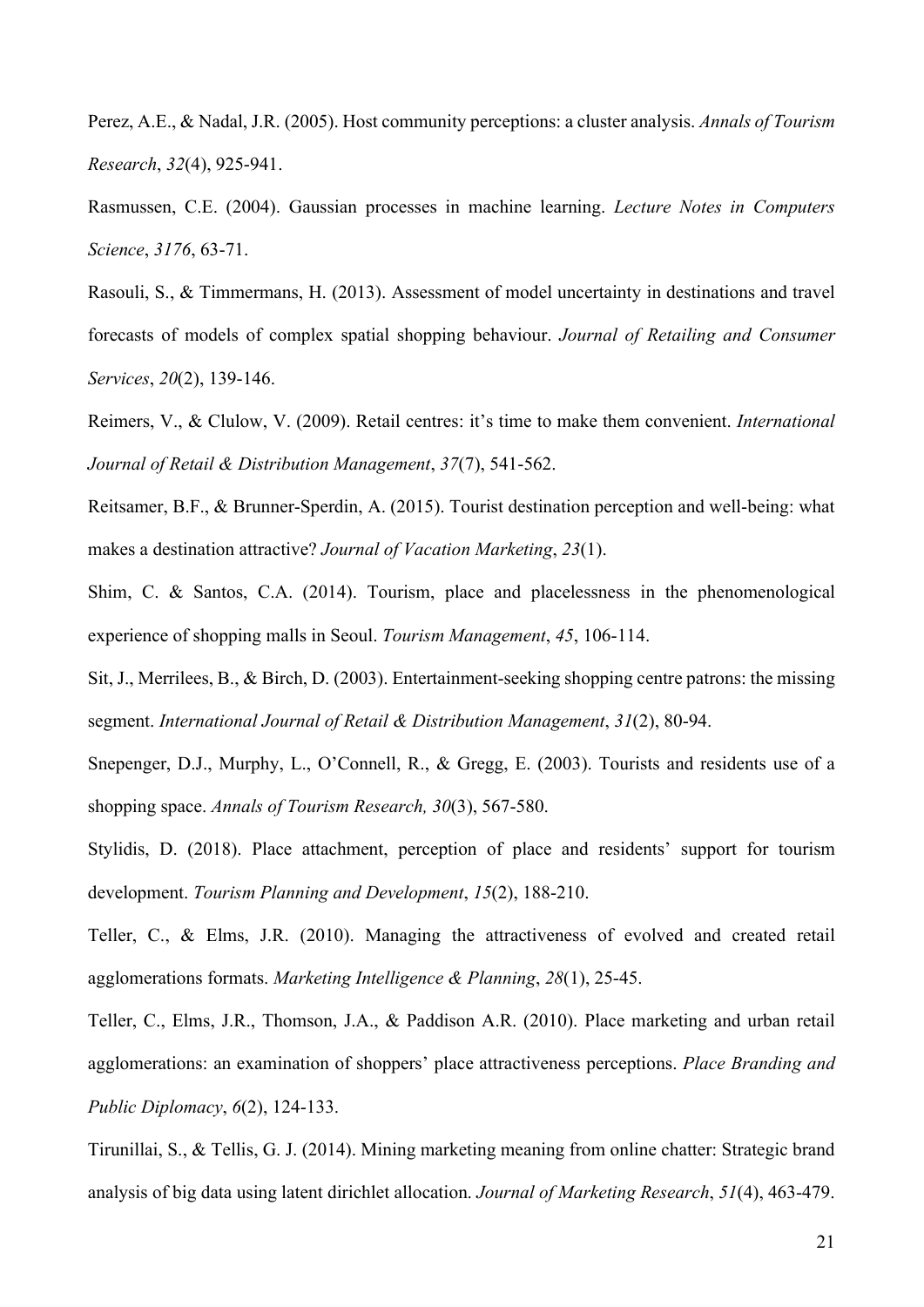Perez, A.E., & Nadal, J.R. (2005). Host community perceptions: a cluster analysis. Annals of Tourism Research, 32(4), 925-941.

Rasmussen, C.E. (2004). Gaussian processes in machine learning. Lecture Notes in Computers Science, 3176, 63-71.

Rasouli, S., & Timmermans, H. (2013). Assessment of model uncertainty in destinations and travel forecasts of models of complex spatial shopping behaviour. Journal of Retailing and Consumer Services, 20(2), 139-146.

Reimers, V., & Clulow, V. (2009). Retail centres: it's time to make them convenient. International Journal of Retail & Distribution Management, 37(7), 541-562.

Reitsamer, B.F., & Brunner-Sperdin, A. (2015). Tourist destination perception and well-being: what makes a destination attractive? Journal of Vacation Marketing, 23(1).

Shim, C. & Santos, C.A. (2014). Tourism, place and placelessness in the phenomenological experience of shopping malls in Seoul. Tourism Management, 45, 106-114.

Sit, J., Merrilees, B., & Birch, D. (2003). Entertainment-seeking shopping centre patrons: the missing segment. International Journal of Retail & Distribution Management, 31(2), 80-94.

Snepenger, D.J., Murphy, L., O'Connell, R., & Gregg, E. (2003). Tourists and residents use of a shopping space. Annals of Tourism Research, 30(3), 567-580.

Stylidis, D. (2018). Place attachment, perception of place and residents' support for tourism development. Tourism Planning and Development, 15(2), 188-210.

Teller, C., & Elms, J.R. (2010). Managing the attractiveness of evolved and created retail agglomerations formats. Marketing Intelligence & Planning, 28(1), 25-45.

Teller, C., Elms, J.R., Thomson, J.A., & Paddison A.R. (2010). Place marketing and urban retail agglomerations: an examination of shoppers' place attractiveness perceptions. Place Branding and Public Diplomacy, 6(2), 124-133.

Tirunillai, S., & Tellis, G. J. (2014). Mining marketing meaning from online chatter: Strategic brand analysis of big data using latent dirichlet allocation. Journal of Marketing Research, 51(4), 463-479.